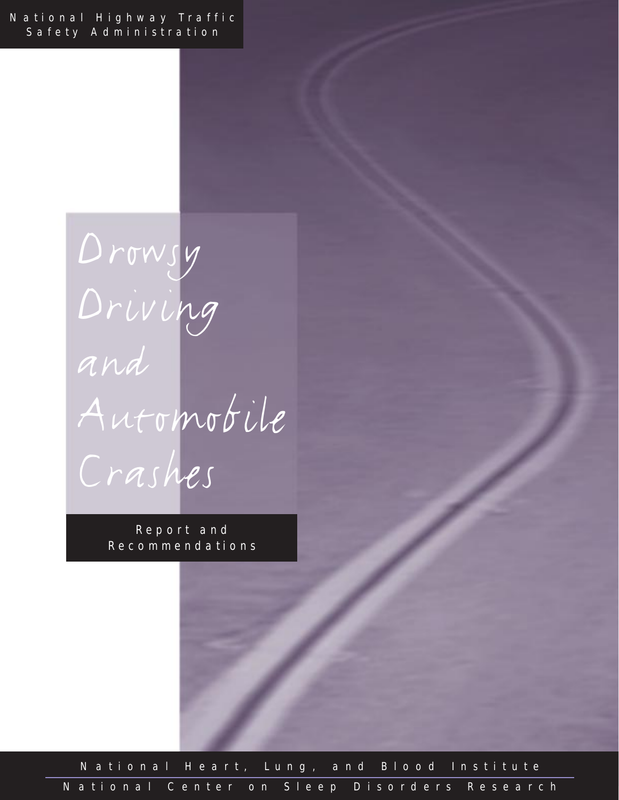National Highway Traffic Safety Administration

> Drowsy Driving and Automobile Crashes

> > Report and Recommendations

National Heart, Lung, and Blood Institute National Center on Sleep Disorders Research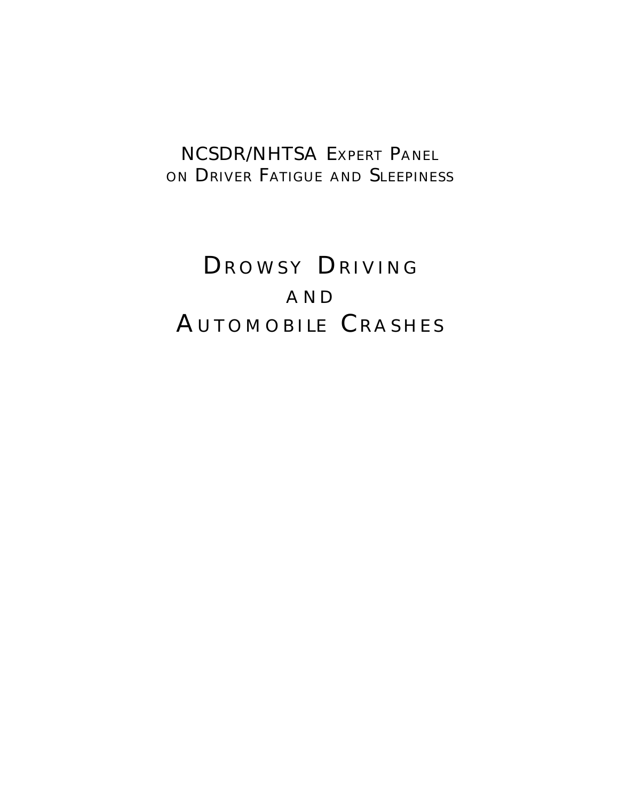# NCSDR/NHTSA EXPERT PANEL ON DRIVER FATIGUE AND SLEEPINESS

# DROWSY DRIVING AND AUTOMOBILE CRASHES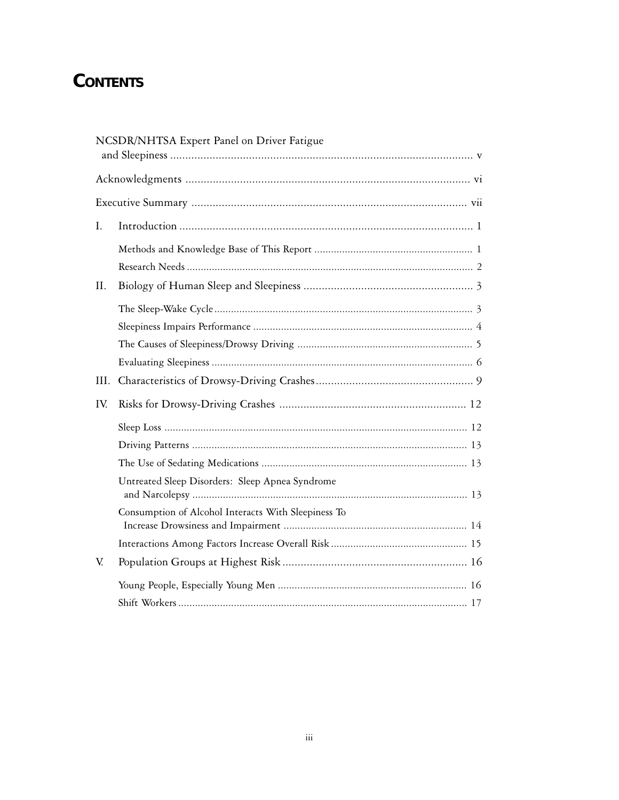# **CONTENTS**

|      | NCSDR/NHTSA Expert Panel on Driver Fatigue          |
|------|-----------------------------------------------------|
|      |                                                     |
|      |                                                     |
| I.   |                                                     |
|      |                                                     |
|      |                                                     |
| II.  |                                                     |
|      |                                                     |
|      |                                                     |
|      |                                                     |
|      |                                                     |
| III. |                                                     |
| IV.  |                                                     |
|      |                                                     |
|      |                                                     |
|      |                                                     |
|      | Untreated Sleep Disorders: Sleep Apnea Syndrome     |
|      | Consumption of Alcohol Interacts With Sleepiness To |
|      |                                                     |
| V.   |                                                     |
|      |                                                     |
|      |                                                     |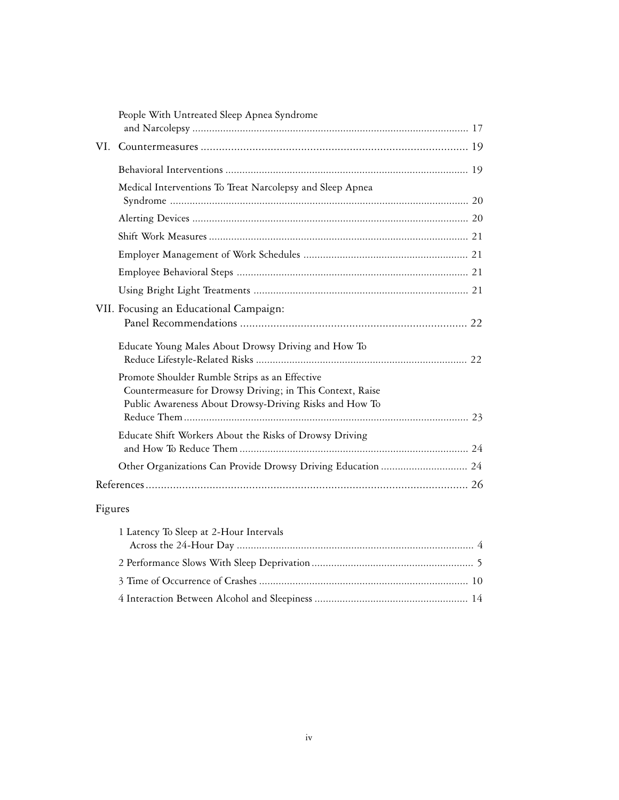| People With Untreated Sleep Apnea Syndrome                                                                                                                            |  |
|-----------------------------------------------------------------------------------------------------------------------------------------------------------------------|--|
|                                                                                                                                                                       |  |
|                                                                                                                                                                       |  |
|                                                                                                                                                                       |  |
| Medical Interventions To Treat Narcolepsy and Sleep Apnea                                                                                                             |  |
|                                                                                                                                                                       |  |
|                                                                                                                                                                       |  |
|                                                                                                                                                                       |  |
|                                                                                                                                                                       |  |
|                                                                                                                                                                       |  |
| VII. Focusing an Educational Campaign:                                                                                                                                |  |
| Educate Young Males About Drowsy Driving and How To                                                                                                                   |  |
| Promote Shoulder Rumble Strips as an Effective<br>Countermeasure for Drowsy Driving; in This Context, Raise<br>Public Awareness About Drowsy-Driving Risks and How To |  |
|                                                                                                                                                                       |  |
| Educate Shift Workers About the Risks of Drowsy Driving                                                                                                               |  |
| Other Organizations Can Provide Drowsy Driving Education  24                                                                                                          |  |
|                                                                                                                                                                       |  |

# Figures

| 1 Latency To Sleep at 2-Hour Intervals |  |
|----------------------------------------|--|
|                                        |  |
|                                        |  |
|                                        |  |
|                                        |  |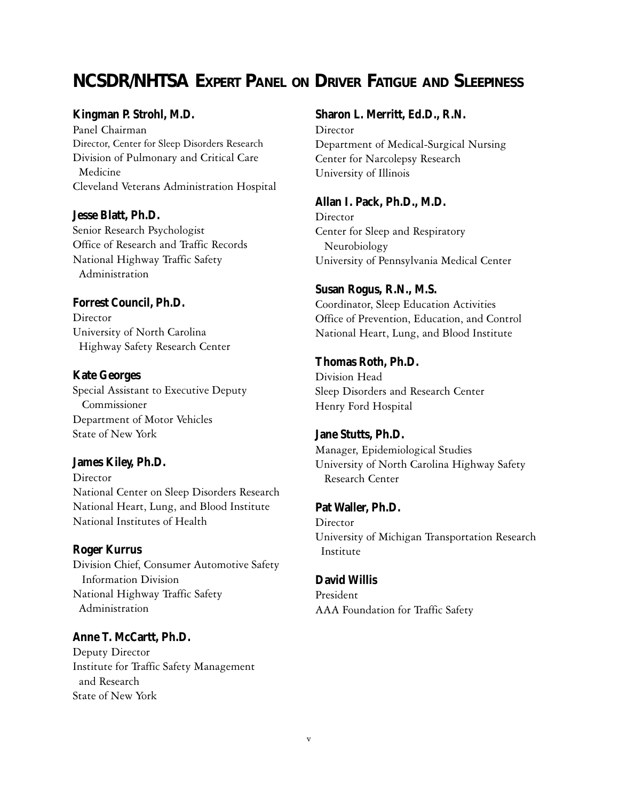# **NCSDR/NHTSA EXPERT PANEL ON DRIVER FATIGUE AND SLEEPINESS**

#### **Kingman P. Strohl, M.D.**

Panel Chairman Director, Center for Sleep Disorders Research Division of Pulmonary and Critical Care Medicine Cleveland Veterans Administration Hospital

**Jesse Blatt, Ph.D.** Senior Research Psychologist Office of Research and Traffic Records National Highway Traffic Safety Administration

**Forrest Council, Ph.D. Director** University of North Carolina Highway Safety Research Center

**Kate Georges** Special Assistant to Executive Deputy Commissioner Department of Motor Vehicles State of New York

#### **James Kiley, Ph.D.**

Director National Center on Sleep Disorders Research National Heart, Lung, and Blood Institute National Institutes of Health

#### **Roger Kurrus**

Division Chief, Consumer Automotive Safety Information Division National Highway Traffic Safety Administration

#### **Anne T. McCartt, Ph.D.**

Deputy Director Institute for Traffic Safety Management and Research State of New York

**Sharon L. Merritt, Ed.D., R.N.**

**Director** Department of Medical-Surgical Nursing Center for Narcolepsy Research University of Illinois

**Allan I. Pack, Ph.D., M.D.** Director Center for Sleep and Respiratory Neurobiology University of Pennsylvania Medical Center

#### **Susan Rogus, R.N., M.S.**

Coordinator, Sleep Education Activities Office of Prevention, Education, and Control National Heart, Lung, and Blood Institute

**Thomas Roth, Ph.D.** Division Head Sleep Disorders and Research Center Henry Ford Hospital

**Jane Stutts, Ph.D.** Manager, Epidemiological Studies University of North Carolina Highway Safety Research Center

#### **Pat Waller, Ph.D.** Director

University of Michigan Transportation Research Institute

#### **David Willis**

President AAA Foundation for Traffic Safety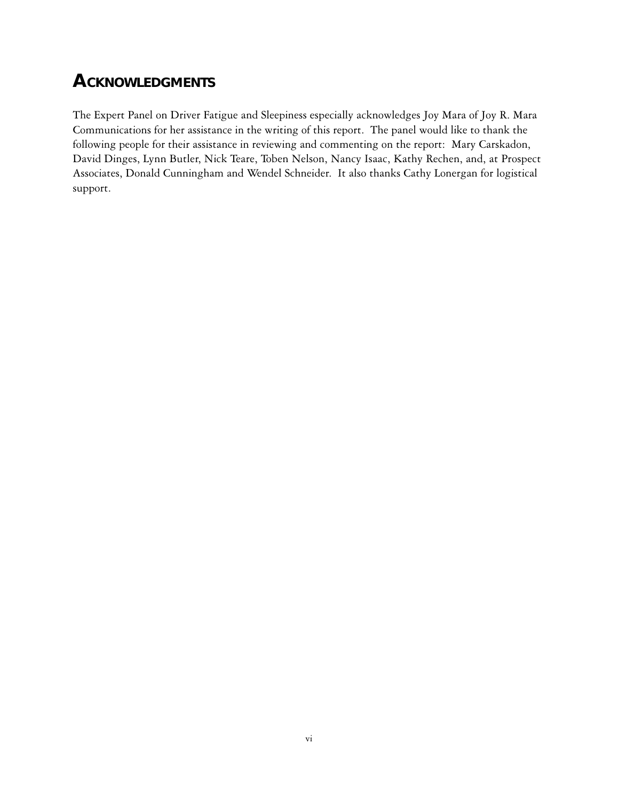# **ACKNOWLEDGMENTS**

The Expert Panel on Driver Fatigue and Sleepiness especially acknowledges Joy Mara of Joy R. Mara Communications for her assistance in the writing of this report. The panel would like to thank the following people for their assistance in reviewing and commenting on the report: Mary Carskadon, David Dinges, Lynn Butler, Nick Teare, Toben Nelson, Nancy Isaac, Kathy Rechen, and, at Prospect Associates, Donald Cunningham and Wendel Schneider. It also thanks Cathy Lonergan for logistical support.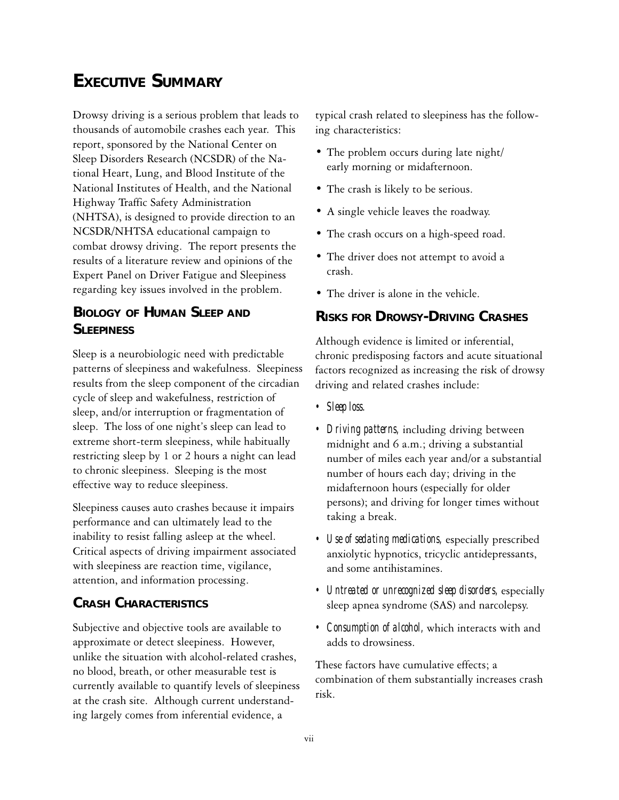# **EXECUTIVE SUMMARY**

Drowsy driving is a serious problem that leads to thousands of automobile crashes each year. This report, sponsored by the National Center on Sleep Disorders Research (NCSDR) of the National Heart, Lung, and Blood Institute of the National Institutes of Health, and the National Highway Traffic Safety Administration (NHTSA), is designed to provide direction to an NCSDR/NHTSA educational campaign to combat drowsy driving. The report presents the results of a literature review and opinions of the Expert Panel on Driver Fatigue and Sleepiness regarding key issues involved in the problem.

### **BIOLOGY OF HUMAN SLEEP AND SI FFPINESS**

Sleep is a neurobiologic need with predictable patterns of sleepiness and wakefulness. Sleepiness results from the sleep component of the circadian cycle of sleep and wakefulness, restriction of sleep, and/or interruption or fragmentation of sleep. The loss of one night's sleep can lead to extreme short-term sleepiness, while habitually restricting sleep by 1 or 2 hours a night can lead to chronic sleepiness. Sleeping is the most effective way to reduce sleepiness.

Sleepiness causes auto crashes because it impairs performance and can ultimately lead to the inability to resist falling asleep at the wheel. Critical aspects of driving impairment associated with sleepiness are reaction time, vigilance, attention, and information processing.

#### **CRASH CHARACTERISTICS**

Subjective and objective tools are available to approximate or detect sleepiness. However, unlike the situation with alcohol-related crashes, no blood, breath, or other measurable test is currently available to quantify levels of sleepiness at the crash site. Although current understanding largely comes from inferential evidence, a

typical crash related to sleepiness has the following characteristics:

- The problem occurs during late night/ early morning or midafternoon.
- The crash is likely to be serious.
- A single vehicle leaves the roadway.
- The crash occurs on a high-speed road.
- The driver does not attempt to avoid a crash.
- The driver is alone in the vehicle.

#### **RISKS FOR DROWSY-DRIVING CRASHES**

Although evidence is limited or inferential, chronic predisposing factors and acute situational factors recognized as increasing the risk of drowsy driving and related crashes include:

- *Sleep loss.*
- *Driving patterns,* including driving between midnight and 6 a.m.; driving a substantial number of miles each year and/or a substantial number of hours each day; driving in the midafternoon hours (especially for older persons); and driving for longer times without taking a break.
- *Use of sedating medications,* especially prescribed anxiolytic hypnotics, tricyclic antidepressants, and some antihistamines.
- *Untreated or unrecognized sleep disorders,* especially sleep apnea syndrome (SAS) and narcolepsy.
- *Consumption of alcohol,* which interacts with and adds to drowsiness.

These factors have cumulative effects; a combination of them substantially increases crash risk.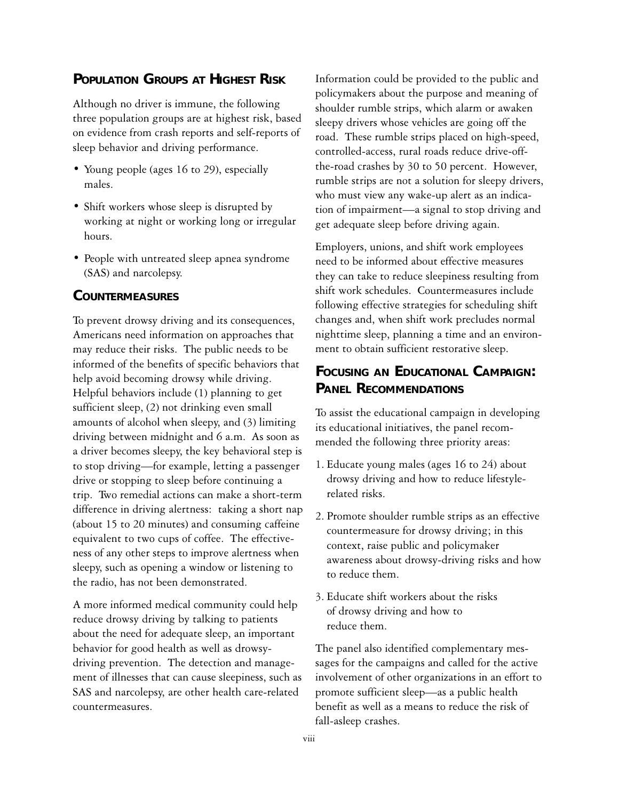#### **POPULATION GROUPS AT HIGHEST RISK**

Although no driver is immune, the following three population groups are at highest risk, based on evidence from crash reports and self-reports of sleep behavior and driving performance.

- Young people (ages 16 to 29), especially males.
- Shift workers whose sleep is disrupted by working at night or working long or irregular hours.
- People with untreated sleep apnea syndrome (SAS) and narcolepsy.

#### **COUNTERMEASURES**

To prevent drowsy driving and its consequences, Americans need information on approaches that may reduce their risks. The public needs to be informed of the benefits of specific behaviors that help avoid becoming drowsy while driving. Helpful behaviors include (1) planning to get sufficient sleep, (2) not drinking even small amounts of alcohol when sleepy, and (3) limiting driving between midnight and 6 a.m. As soon as a driver becomes sleepy, the key behavioral step is to stop driving—for example, letting a passenger drive or stopping to sleep before continuing a trip. Two remedial actions can make a short-term difference in driving alertness: taking a short nap (about 15 to 20 minutes) and consuming caffeine equivalent to two cups of coffee. The effectiveness of any other steps to improve alertness when sleepy, such as opening a window or listening to the radio, has not been demonstrated.

A more informed medical community could help reduce drowsy driving by talking to patients about the need for adequate sleep, an important behavior for good health as well as drowsydriving prevention. The detection and management of illnesses that can cause sleepiness, such as SAS and narcolepsy, are other health care-related countermeasures.

Information could be provided to the public and policymakers about the purpose and meaning of shoulder rumble strips, which alarm or awaken sleepy drivers whose vehicles are going off the road. These rumble strips placed on high-speed, controlled-access, rural roads reduce drive-offthe-road crashes by 30 to 50 percent. However, rumble strips are not a solution for sleepy drivers, who must view any wake-up alert as an indication of impairment—a signal to stop driving and get adequate sleep before driving again.

Employers, unions, and shift work employees need to be informed about effective measures they can take to reduce sleepiness resulting from shift work schedules. Countermeasures include following effective strategies for scheduling shift changes and, when shift work precludes normal nighttime sleep, planning a time and an environment to obtain sufficient restorative sleep.

#### **FOCUSING AN EDUCATIONAL CAMPAIGN: PANEL RECOMMENDATIONS**

To assist the educational campaign in developing its educational initiatives, the panel recommended the following three priority areas:

- 1. Educate young males (ages 16 to 24) about drowsy driving and how to reduce lifestylerelated risks.
- 2. Promote shoulder rumble strips as an effective countermeasure for drowsy driving; in this context, raise public and policymaker awareness about drowsy-driving risks and how to reduce them.
- 3. Educate shift workers about the risks of drowsy driving and how to reduce them.

The panel also identified complementary messages for the campaigns and called for the active involvement of other organizations in an effort to promote sufficient sleep—as a public health benefit as well as a means to reduce the risk of fall-asleep crashes.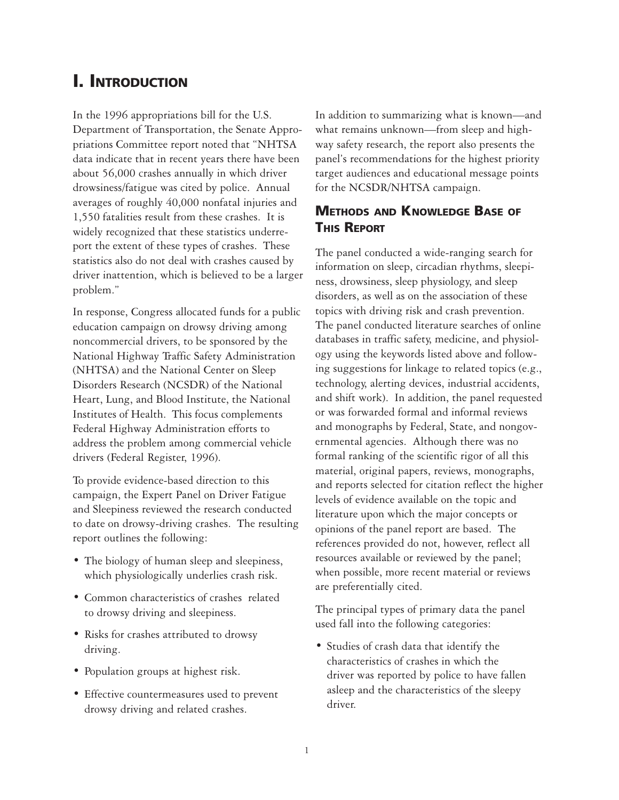# **I. INTRODUCTION**

In the 1996 appropriations bill for the U.S. Department of Transportation, the Senate Appropriations Committee report noted that "NHTSA data indicate that in recent years there have been about 56,000 crashes annually in which driver drowsiness/fatigue was cited by police. Annual averages of roughly 40,000 nonfatal injuries and 1,550 fatalities result from these crashes. It is widely recognized that these statistics underreport the extent of these types of crashes. These statistics also do not deal with crashes caused by driver inattention, which is believed to be a larger problem."

In response, Congress allocated funds for a public education campaign on drowsy driving among noncommercial drivers, to be sponsored by the National Highway Traffic Safety Administration (NHTSA) and the National Center on Sleep Disorders Research (NCSDR) of the National Heart, Lung, and Blood Institute, the National Institutes of Health. This focus complements Federal Highway Administration efforts to address the problem among commercial vehicle drivers (Federal Register, 1996).

To provide evidence-based direction to this campaign, the Expert Panel on Driver Fatigue and Sleepiness reviewed the research conducted to date on drowsy-driving crashes. The resulting report outlines the following:

- The biology of human sleep and sleepiness, which physiologically underlies crash risk.
- Common characteristics of crashes related to drowsy driving and sleepiness.
- Risks for crashes attributed to drowsy driving.
- Population groups at highest risk.
- Effective countermeasures used to prevent drowsy driving and related crashes.

In addition to summarizing what is known—and what remains unknown—from sleep and highway safety research, the report also presents the panel's recommendations for the highest priority target audiences and educational message points for the NCSDR/NHTSA campaign.

### **METHODS AND KNOWLEDGE BASE OF THIS REPORT**

The panel conducted a wide-ranging search for information on sleep, circadian rhythms, sleepiness, drowsiness, sleep physiology, and sleep disorders, as well as on the association of these topics with driving risk and crash prevention. The panel conducted literature searches of online databases in traffic safety, medicine, and physiology using the keywords listed above and following suggestions for linkage to related topics (e.g., technology, alerting devices, industrial accidents, and shift work). In addition, the panel requested or was forwarded formal and informal reviews and monographs by Federal, State, and nongovernmental agencies. Although there was no formal ranking of the scientific rigor of all this material, original papers, reviews, monographs, and reports selected for citation reflect the higher levels of evidence available on the topic and literature upon which the major concepts or opinions of the panel report are based. The references provided do not, however, reflect all resources available or reviewed by the panel; when possible, more recent material or reviews are preferentially cited.

The principal types of primary data the panel used fall into the following categories:

• Studies of crash data that identify the characteristics of crashes in which the driver was reported by police to have fallen asleep and the characteristics of the sleepy driver.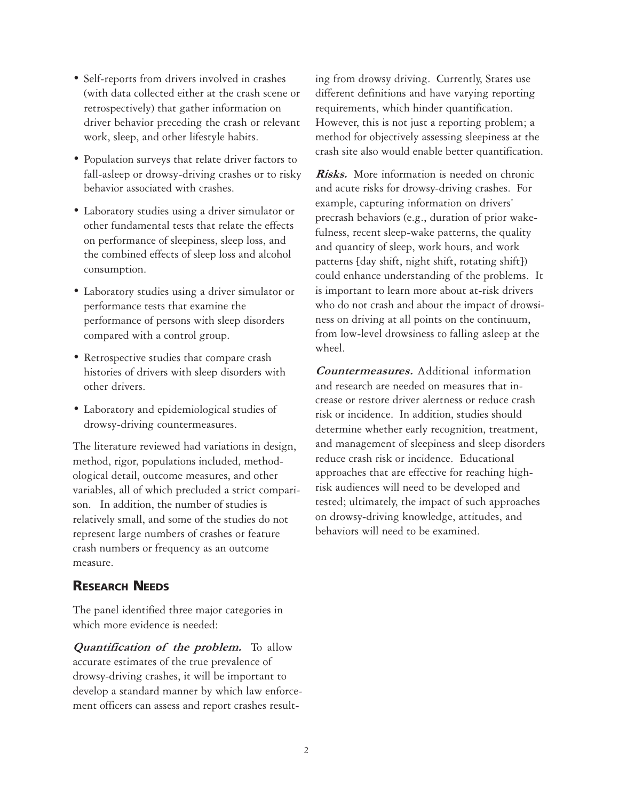- Self-reports from drivers involved in crashes (with data collected either at the crash scene or retrospectively) that gather information on driver behavior preceding the crash or relevant work, sleep, and other lifestyle habits.
- Population surveys that relate driver factors to fall-asleep or drowsy-driving crashes or to risky behavior associated with crashes.
- Laboratory studies using a driver simulator or other fundamental tests that relate the effects on performance of sleepiness, sleep loss, and the combined effects of sleep loss and alcohol consumption.
- Laboratory studies using a driver simulator or performance tests that examine the performance of persons with sleep disorders compared with a control group.
- Retrospective studies that compare crash histories of drivers with sleep disorders with other drivers.
- Laboratory and epidemiological studies of drowsy-driving countermeasures.

The literature reviewed had variations in design, method, rigor, populations included, methodological detail, outcome measures, and other variables, all of which precluded a strict comparison. In addition, the number of studies is relatively small, and some of the studies do not represent large numbers of crashes or feature crash numbers or frequency as an outcome measure.

#### **RESEARCH NEEDS**

The panel identified three major categories in which more evidence is needed:

Quantification of the problem. To allow accurate estimates of the true prevalence of drowsy-driving crashes, it will be important to develop a standard manner by which law enforcement officers can assess and report crashes resulting from drowsy driving. Currently, States use different definitions and have varying reporting requirements, which hinder quantification. However, this is not just a reporting problem; a method for objectively assessing sleepiness at the crash site also would enable better quantification.

**Risks.** More information is needed on chronic and acute risks for drowsy-driving crashes. For example, capturing information on drivers' precrash behaviors (e.g., duration of prior wakefulness, recent sleep-wake patterns, the quality and quantity of sleep, work hours, and work patterns [day shift, night shift, rotating shift]) could enhance understanding of the problems. It is important to learn more about at-risk drivers who do not crash and about the impact of drowsiness on driving at all points on the continuum, from low-level drowsiness to falling asleep at the wheel.

Countermeasures. Additional information and research are needed on measures that increase or restore driver alertness or reduce crash risk or incidence. In addition, studies should determine whether early recognition, treatment, and management of sleepiness and sleep disorders reduce crash risk or incidence. Educational approaches that are effective for reaching highrisk audiences will need to be developed and tested; ultimately, the impact of such approaches on drowsy-driving knowledge, attitudes, and behaviors will need to be examined.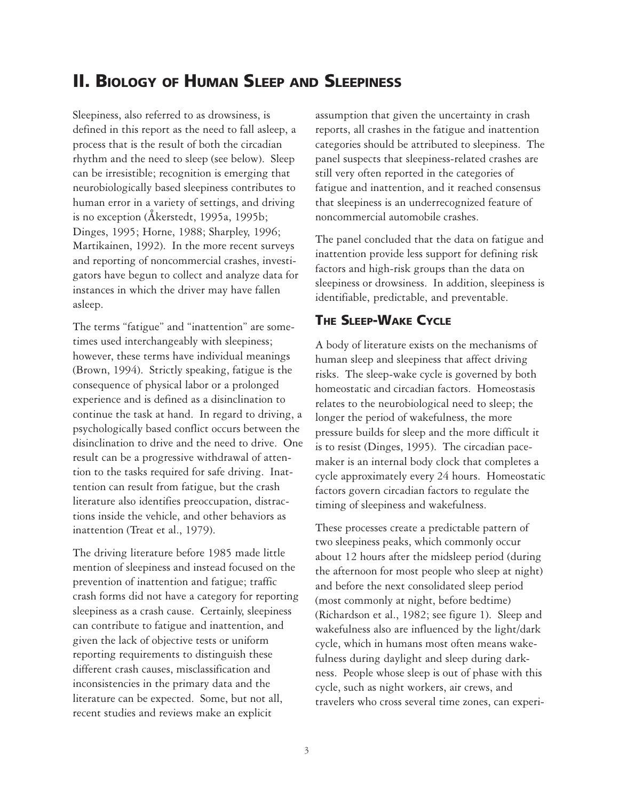# **II. BIOLOGY OF HUMAN SLEEP AND SLEEPINESS**

Sleepiness, also referred to as drowsiness, is defined in this report as the need to fall asleep, a process that is the result of both the circadian rhythm and the need to sleep (see below). Sleep can be irresistible; recognition is emerging that neurobiologically based sleepiness contributes to human error in a variety of settings, and driving is no exception (Åkerstedt, 1995a, 1995b; Dinges, 1995; Horne, 1988; Sharpley, 1996; Martikainen, 1992). In the more recent surveys and reporting of noncommercial crashes, investigators have begun to collect and analyze data for instances in which the driver may have fallen asleep.

The terms "fatigue" and "inattention" are sometimes used interchangeably with sleepiness; however, these terms have individual meanings (Brown, 1994). Strictly speaking, fatigue is the consequence of physical labor or a prolonged experience and is defined as a disinclination to continue the task at hand. In regard to driving, a psychologically based conflict occurs between the disinclination to drive and the need to drive. One result can be a progressive withdrawal of attention to the tasks required for safe driving. Inattention can result from fatigue, but the crash literature also identifies preoccupation, distractions inside the vehicle, and other behaviors as inattention (Treat et al., 1979).

The driving literature before 1985 made little mention of sleepiness and instead focused on the prevention of inattention and fatigue; traffic crash forms did not have a category for reporting sleepiness as a crash cause. Certainly, sleepiness can contribute to fatigue and inattention, and given the lack of objective tests or uniform reporting requirements to distinguish these different crash causes, misclassification and inconsistencies in the primary data and the literature can be expected. Some, but not all, recent studies and reviews make an explicit

assumption that given the uncertainty in crash reports, all crashes in the fatigue and inattention categories should be attributed to sleepiness. The panel suspects that sleepiness-related crashes are still very often reported in the categories of fatigue and inattention, and it reached consensus that sleepiness is an underrecognized feature of noncommercial automobile crashes.

The panel concluded that the data on fatigue and inattention provide less support for defining risk factors and high-risk groups than the data on sleepiness or drowsiness. In addition, sleepiness is identifiable, predictable, and preventable.

#### **THE SLEEP-WAKE CYCLE**

A body of literature exists on the mechanisms of human sleep and sleepiness that affect driving risks. The sleep-wake cycle is governed by both homeostatic and circadian factors. Homeostasis relates to the neurobiological need to sleep; the longer the period of wakefulness, the more pressure builds for sleep and the more difficult it is to resist (Dinges, 1995). The circadian pacemaker is an internal body clock that completes a cycle approximately every 24 hours. Homeostatic factors govern circadian factors to regulate the timing of sleepiness and wakefulness.

These processes create a predictable pattern of two sleepiness peaks, which commonly occur about 12 hours after the midsleep period (during the afternoon for most people who sleep at night) and before the next consolidated sleep period (most commonly at night, before bedtime) (Richardson et al., 1982; see figure 1). Sleep and wakefulness also are influenced by the light/dark cycle, which in humans most often means wakefulness during daylight and sleep during darkness. People whose sleep is out of phase with this cycle, such as night workers, air crews, and travelers who cross several time zones, can experi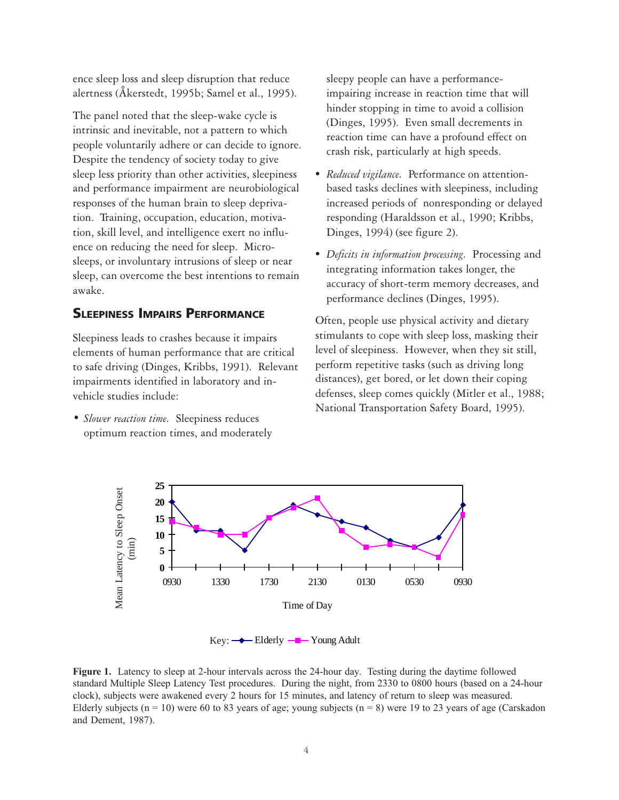ence sleep loss and sleep disruption that reduce alertness (Åkerstedt, 1995b; Samel et al., 1995).

The panel noted that the sleep-wake cycle is intrinsic and inevitable, not a pattern to which people voluntarily adhere or can decide to ignore. Despite the tendency of society today to give sleep less priority than other activities, sleepiness and performance impairment are neurobiological responses of the human brain to sleep deprivation. Training, occupation, education, motivation, skill level, and intelligence exert no influence on reducing the need for sleep. Microsleeps, or involuntary intrusions of sleep or near sleep, can overcome the best intentions to remain awake.

#### **SLEEPINESS IMPAIRS PERFORMANCE**

Sleepiness leads to crashes because it impairs elements of human performance that are critical to safe driving (Dinges, Kribbs, 1991). Relevant impairments identified in laboratory and invehicle studies include:

*• Slower reaction time.* Sleepiness reduces optimum reaction times, and moderately sleepy people can have a performanceimpairing increase in reaction time that will hinder stopping in time to avoid a collision (Dinges, 1995). Even small decrements in reaction time can have a profound effect on crash risk, particularly at high speeds.

- *Reduced vigilance.* Performance on attentionbased tasks declines with sleepiness, including increased periods of nonresponding or delayed responding (Haraldsson et al., 1990; Kribbs, Dinges, 1994) (see figure 2).
- *Deficits in information processing.* Processing and integrating information takes longer, the accuracy of short-term memory decreases, and performance declines (Dinges, 1995).

Often, people use physical activity and dietary stimulants to cope with sleep loss, masking their level of sleepiness. However, when they sit still, perform repetitive tasks (such as driving long distances), get bored, or let down their coping defenses, sleep comes quickly (Mitler et al., 1988; National Transportation Safety Board, 1995).



Key:  $\longrightarrow$  Elderly  $\longrightarrow$  Young Adult

Figure 1. Latency to sleep at 2-hour intervals across the 24-hour day. Testing during the daytime followed standard Multiple Sleep Latency Test procedures. During the night, from 2330 to 0800 hours (based on a 24-hour clock), subjects were awakened every 2 hours for 15 minutes, and latency of return to sleep was measured. Elderly subjects ( $n = 10$ ) were 60 to 83 years of age; young subjects ( $n = 8$ ) were 19 to 23 years of age (Carskadon and Dement, 1987).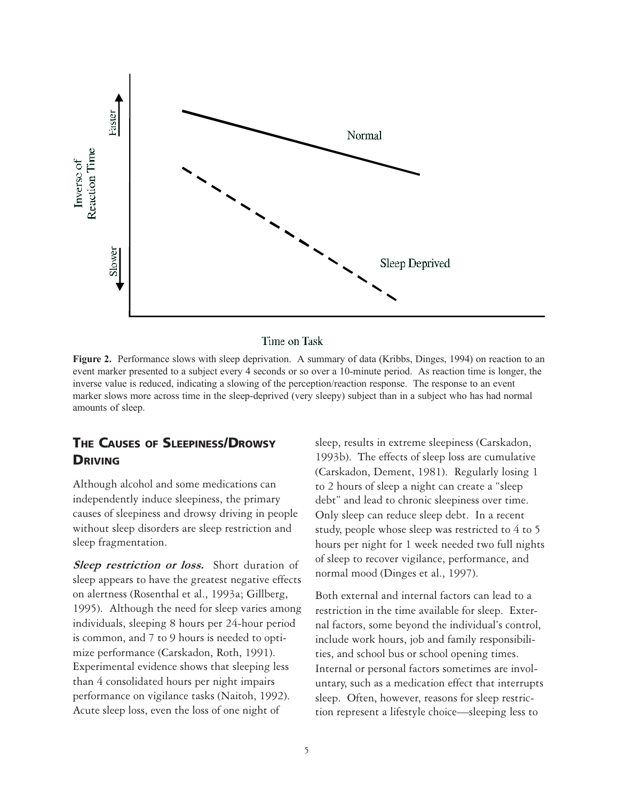

Time on Task

Figure 2. Performance slows with sleep deprivation. A summary of data (Kribbs, Dinges, 1994) on reaction to an event marker presented to a subject every 4 seconds or so over a 10-minute period. As reaction time is longer, the inverse value is reduced, indicating a slowing of the perception/reaction response. The response to an event marker slows more across time in the sleep-deprived (very sleepy) subject than in a subject who has had normal amounts of sleep.

#### **THE CAUSES OF SLEEPINESS/DROWSY DRIVING**

Although alcohol and some medications can independently induce sleepiness, the primary causes of sleepiness and drowsy driving in people without sleep disorders are sleep restriction and sleep fragmentation.

Sleep restriction or loss. Short duration of sleep appears to have the greatest negative effects on alertness (Rosenthal et al., 1993a; Gillberg, 1995). Although the need for sleep varies among individuals, sleeping 8 hours per 24-hour period is common, and 7 to 9 hours is needed to optimize performance (Carskadon, Roth, 1991). Experimental evidence shows that sleeping less than 4 consolidated hours per night impairs performance on vigilance tasks (Naitoh, 1992). Acute sleep loss, even the loss of one night of

sleep, results in extreme sleepiness (Carskadon, 1993b). The effects of sleep loss are cumulative (Carskadon, Dement, 1981). Regularly losing 1 to 2 hours of sleep a night can create a "sleep debt" and lead to chronic sleepiness over time. Only sleep can reduce sleep debt. In a recent study, people whose sleep was restricted to 4 to 5 hours per night for 1 week needed two full nights of sleep to recover vigilance, performance, and normal mood (Dinges et al., 1997).

Both external and internal factors can lead to a restriction in the time available for sleep. External factors, some beyond the individual's control, include work hours, job and family responsibilities, and school bus or school opening times. Internal or personal factors sometimes are involuntary, such as a medication effect that interrupts sleep. Often, however, reasons for sleep restriction represent a lifestyle choice—sleeping less to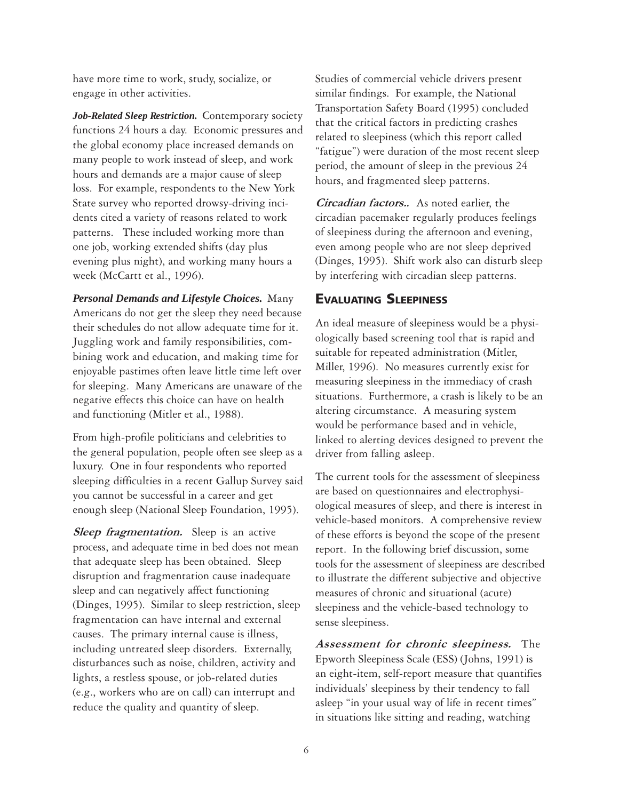have more time to work, study, socialize, or engage in other activities.

*Job-Related Sleep Restriction.* Contemporary society functions 24 hours a day. Economic pressures and the global economy place increased demands on many people to work instead of sleep, and work hours and demands are a major cause of sleep loss. For example, respondents to the New York State survey who reported drowsy-driving incidents cited a variety of reasons related to work patterns. These included working more than one job, working extended shifts (day plus evening plus night), and working many hours a week (McCartt et al., 1996).

*Personal Demands and Lifestyle Choices.* Many Americans do not get the sleep they need because their schedules do not allow adequate time for it. Juggling work and family responsibilities, combining work and education, and making time for enjoyable pastimes often leave little time left over for sleeping. Many Americans are unaware of the negative effects this choice can have on health and functioning (Mitler et al., 1988).

From high-profile politicians and celebrities to the general population, people often see sleep as a luxury. One in four respondents who reported sleeping difficulties in a recent Gallup Survey said you cannot be successful in a career and get enough sleep (National Sleep Foundation, 1995).

Sleep fragmentation. Sleep is an active process, and adequate time in bed does not mean that adequate sleep has been obtained. Sleep disruption and fragmentation cause inadequate sleep and can negatively affect functioning (Dinges, 1995). Similar to sleep restriction, sleep fragmentation can have internal and external causes. The primary internal cause is illness, including untreated sleep disorders. Externally, disturbances such as noise, children, activity and lights, a restless spouse, or job-related duties (e.g., workers who are on call) can interrupt and reduce the quality and quantity of sleep.

Studies of commercial vehicle drivers present similar findings. For example, the National Transportation Safety Board (1995) concluded that the critical factors in predicting crashes related to sleepiness (which this report called "fatigue") were duration of the most recent sleep period, the amount of sleep in the previous 24 hours, and fragmented sleep patterns.

Circadian factors.*.* As noted earlier, the circadian pacemaker regularly produces feelings of sleepiness during the afternoon and evening, even among people who are not sleep deprived (Dinges, 1995). Shift work also can disturb sleep by interfering with circadian sleep patterns.

#### **EVALUATING SLEEPINESS**

An ideal measure of sleepiness would be a physiologically based screening tool that is rapid and suitable for repeated administration (Mitler, Miller, 1996). No measures currently exist for measuring sleepiness in the immediacy of crash situations. Furthermore, a crash is likely to be an altering circumstance. A measuring system would be performance based and in vehicle, linked to alerting devices designed to prevent the driver from falling asleep.

The current tools for the assessment of sleepiness are based on questionnaires and electrophysiological measures of sleep, and there is interest in vehicle-based monitors. A comprehensive review of these efforts is beyond the scope of the present report. In the following brief discussion, some tools for the assessment of sleepiness are described to illustrate the different subjective and objective measures of chronic and situational (acute) sleepiness and the vehicle-based technology to sense sleepiness.

Assessment for chronic sleepiness. The Epworth Sleepiness Scale (ESS) (Johns, 1991) is an eight-item, self-report measure that quantifies individuals' sleepiness by their tendency to fall asleep "in your usual way of life in recent times" in situations like sitting and reading, watching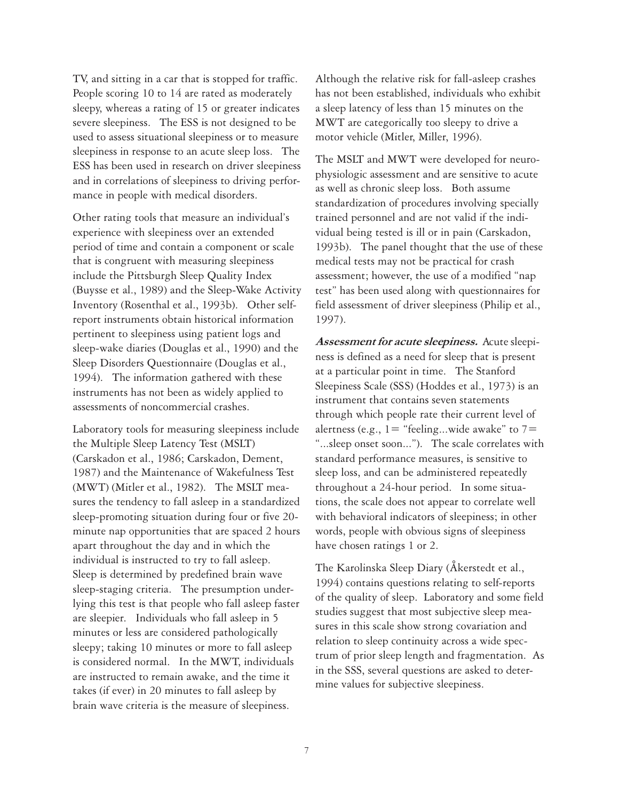TV, and sitting in a car that is stopped for traffic. People scoring 10 to 14 are rated as moderately sleepy, whereas a rating of 15 or greater indicates severe sleepiness. The ESS is not designed to be used to assess situational sleepiness or to measure sleepiness in response to an acute sleep loss. The ESS has been used in research on driver sleepiness and in correlations of sleepiness to driving performance in people with medical disorders.

Other rating tools that measure an individual's experience with sleepiness over an extended period of time and contain a component or scale that is congruent with measuring sleepiness include the Pittsburgh Sleep Quality Index (Buysse et al., 1989) and the Sleep-Wake Activity Inventory (Rosenthal et al., 1993b). Other selfreport instruments obtain historical information pertinent to sleepiness using patient logs and sleep-wake diaries (Douglas et al., 1990) and the Sleep Disorders Questionnaire (Douglas et al., 1994). The information gathered with these instruments has not been as widely applied to assessments of noncommercial crashes.

Laboratory tools for measuring sleepiness include the Multiple Sleep Latency Test (MSLT) (Carskadon et al., 1986; Carskadon, Dement, 1987) and the Maintenance of Wakefulness Test (MWT) (Mitler et al., 1982). The MSLT measures the tendency to fall asleep in a standardized sleep-promoting situation during four or five 20 minute nap opportunities that are spaced 2 hours apart throughout the day and in which the individual is instructed to try to fall asleep. Sleep is determined by predefined brain wave sleep-staging criteria. The presumption underlying this test is that people who fall asleep faster are sleepier. Individuals who fall asleep in 5 minutes or less are considered pathologically sleepy; taking 10 minutes or more to fall asleep is considered normal. In the MWT, individuals are instructed to remain awake, and the time it takes (if ever) in 20 minutes to fall asleep by brain wave criteria is the measure of sleepiness.

Although the relative risk for fall-asleep crashes has not been established, individuals who exhibit a sleep latency of less than 15 minutes on the MWT are categorically too sleepy to drive a motor vehicle (Mitler, Miller, 1996).

The MSLT and MWT were developed for neurophysiologic assessment and are sensitive to acute as well as chronic sleep loss. Both assume standardization of procedures involving specially trained personnel and are not valid if the individual being tested is ill or in pain (Carskadon, 1993b). The panel thought that the use of these medical tests may not be practical for crash assessment; however, the use of a modified "nap test" has been used along with questionnaires for field assessment of driver sleepiness (Philip et al., 1997).

Assessment for acute sleepiness. Acute sleepiness is defined as a need for sleep that is present at a particular point in time. The Stanford Sleepiness Scale (SSS) (Hoddes et al., 1973) is an instrument that contains seven statements through which people rate their current level of alertness (e.g.,  $1 =$  "feeling...wide awake" to  $7 =$ "...sleep onset soon..."). The scale correlates with standard performance measures, is sensitive to sleep loss, and can be administered repeatedly throughout a 24-hour period. In some situations, the scale does not appear to correlate well with behavioral indicators of sleepiness; in other words, people with obvious signs of sleepiness have chosen ratings 1 or 2.

The Karolinska Sleep Diary (Åkerstedt et al., 1994) contains questions relating to self-reports of the quality of sleep. Laboratory and some field studies suggest that most subjective sleep measures in this scale show strong covariation and relation to sleep continuity across a wide spectrum of prior sleep length and fragmentation. As in the SSS, several questions are asked to determine values for subjective sleepiness.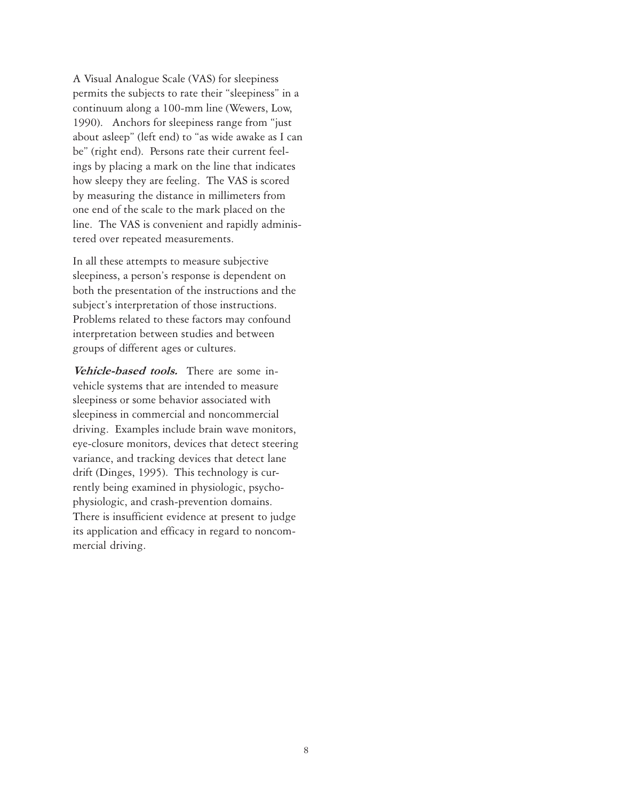A Visual Analogue Scale (VAS) for sleepiness permits the subjects to rate their "sleepiness" in a continuum along a 100-mm line (Wewers, Low, 1990). Anchors for sleepiness range from "just about asleep" (left end) to "as wide awake as I can be" (right end). Persons rate their current feelings by placing a mark on the line that indicates how sleepy they are feeling. The VAS is scored by measuring the distance in millimeters from one end of the scale to the mark placed on the line. The VAS is convenient and rapidly administered over repeated measurements.

In all these attempts to measure subjective sleepiness, a person's response is dependent on both the presentation of the instructions and the subject's interpretation of those instructions. Problems related to these factors may confound interpretation between studies and between groups of different ages or cultures.

Vehicle-based tools. There are some invehicle systems that are intended to measure sleepiness or some behavior associated with sleepiness in commercial and noncommercial driving. Examples include brain wave monitors, eye-closure monitors, devices that detect steering variance, and tracking devices that detect lane drift (Dinges, 1995). This technology is currently being examined in physiologic, psychophysiologic, and crash-prevention domains. There is insufficient evidence at present to judge its application and efficacy in regard to noncommercial driving.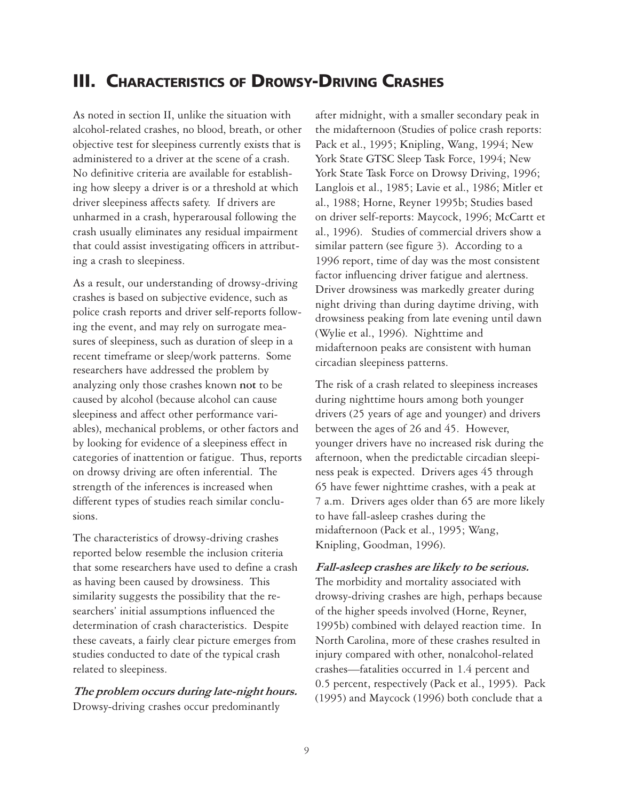# **III. CHARACTERISTICS OF DROWSY-DRIVING CRASHES**

As noted in section II, unlike the situation with alcohol-related crashes, no blood, breath, or other objective test for sleepiness currently exists that is administered to a driver at the scene of a crash. No definitive criteria are available for establishing how sleepy a driver is or a threshold at which driver sleepiness affects safety. If drivers are unharmed in a crash, hyperarousal following the crash usually eliminates any residual impairment that could assist investigating officers in attributing a crash to sleepiness.

As a result, our understanding of drowsy-driving crashes is based on subjective evidence, such as police crash reports and driver self-reports following the event, and may rely on surrogate measures of sleepiness, such as duration of sleep in a recent timeframe or sleep/work patterns. Some researchers have addressed the problem by analyzing only those crashes known **not** to be caused by alcohol (because alcohol can cause sleepiness and affect other performance variables), mechanical problems, or other factors and by looking for evidence of a sleepiness effect in categories of inattention or fatigue. Thus, reports on drowsy driving are often inferential. The strength of the inferences is increased when different types of studies reach similar conclusions.

The characteristics of drowsy-driving crashes reported below resemble the inclusion criteria that some researchers have used to define a crash as having been caused by drowsiness. This similarity suggests the possibility that the researchers' initial assumptions influenced the determination of crash characteristics. Despite these caveats, a fairly clear picture emerges from studies conducted to date of the typical crash related to sleepiness.

The problem occurs during late-night hours. Drowsy-driving crashes occur predominantly

after midnight, with a smaller secondary peak in the midafternoon (Studies of police crash reports: Pack et al., 1995; Knipling, Wang, 1994; New York State GTSC Sleep Task Force, 1994; New York State Task Force on Drowsy Driving, 1996; Langlois et al., 1985; Lavie et al., 1986; Mitler et al., 1988; Horne, Reyner 1995b; Studies based on driver self-reports: Maycock, 1996; McCartt et al., 1996). Studies of commercial drivers show a similar pattern (see figure 3). According to a 1996 report, time of day was the most consistent factor influencing driver fatigue and alertness. Driver drowsiness was markedly greater during night driving than during daytime driving, with drowsiness peaking from late evening until dawn (Wylie et al., 1996). Nighttime and midafternoon peaks are consistent with human circadian sleepiness patterns.

The risk of a crash related to sleepiness increases during nighttime hours among both younger drivers (25 years of age and younger) and drivers between the ages of 26 and 45. However, younger drivers have no increased risk during the afternoon, when the predictable circadian sleepiness peak is expected. Drivers ages 45 through 65 have fewer nighttime crashes, with a peak at 7 a.m. Drivers ages older than 65 are more likely to have fall-asleep crashes during the midafternoon (Pack et al., 1995; Wang, Knipling, Goodman, 1996).

Fall-asleep crashes are likely to be serious. The morbidity and mortality associated with drowsy-driving crashes are high, perhaps because of the higher speeds involved (Horne, Reyner, 1995b) combined with delayed reaction time. In North Carolina, more of these crashes resulted in injury compared with other, nonalcohol-related crashes—fatalities occurred in 1.4 percent and 0.5 percent, respectively (Pack et al., 1995). Pack (1995) and Maycock (1996) both conclude that a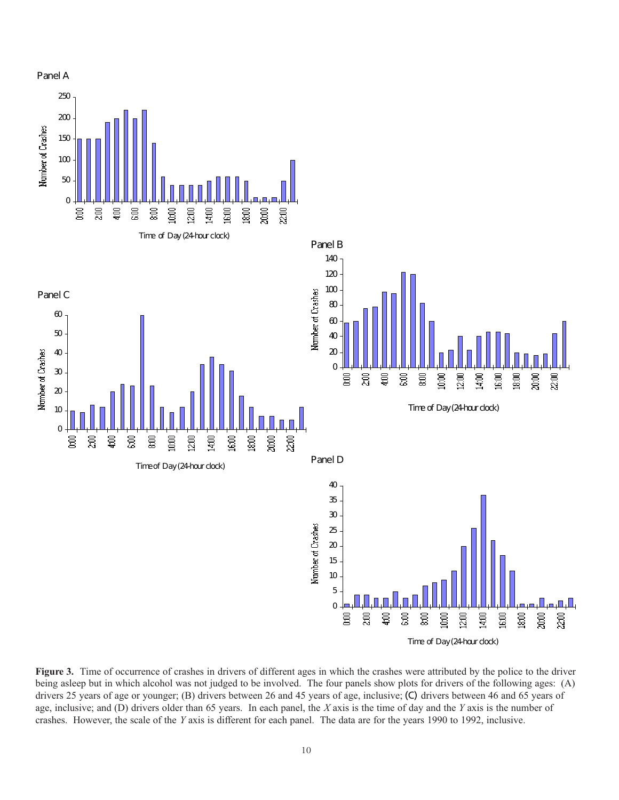

Figure 3. Time of occurrence of crashes in drivers of different ages in which the crashes were attributed by the police to the driver being asleep but in which alcohol was not judged to be involved. The four panels show plots for drivers of the following ages: (A) drivers 25 years of age or younger; (B) drivers between 26 and 45 years of age, inclusive; (C) drivers between 46 and 65 years of age, inclusive; and  $(D)$  drivers older than 65 years. In each panel, the X axis is the time of day and the Y axis is the number of crashes. However, the scale of the Y axis is different for each panel. The data are for the years 1990 to 1992, inclusive.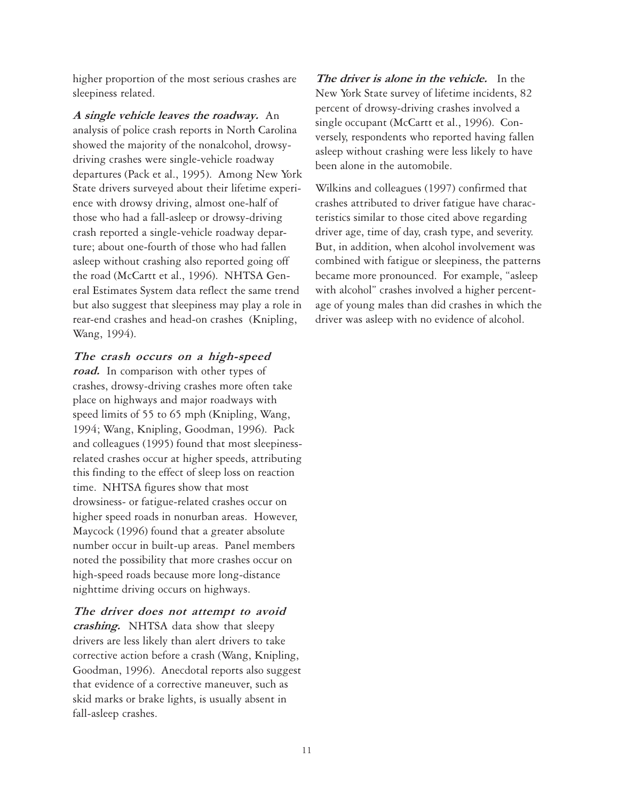higher proportion of the most serious crashes are sleepiness related.

A single vehicle leaves the roadway. An analysis of police crash reports in North Carolina showed the majority of the nonalcohol, drowsydriving crashes were single-vehicle roadway departures (Pack et al., 1995). Among New York State drivers surveyed about their lifetime experience with drowsy driving, almost one-half of those who had a fall-asleep or drowsy-driving crash reported a single-vehicle roadway departure; about one-fourth of those who had fallen asleep without crashing also reported going off the road (McCartt et al., 1996). NHTSA General Estimates System data reflect the same trend but also suggest that sleepiness may play a role in rear-end crashes and head-on crashes (Knipling, Wang, 1994).

The crash occurs on a high-speed

road. In comparison with other types of crashes, drowsy-driving crashes more often take place on highways and major roadways with speed limits of 55 to 65 mph (Knipling, Wang, 1994; Wang, Knipling, Goodman, 1996). Pack and colleagues (1995) found that most sleepinessrelated crashes occur at higher speeds, attributing this finding to the effect of sleep loss on reaction time. NHTSA figures show that most drowsiness- or fatigue-related crashes occur on higher speed roads in nonurban areas. However, Maycock (1996) found that a greater absolute number occur in built-up areas. Panel members noted the possibility that more crashes occur on high-speed roads because more long-distance nighttime driving occurs on highways.

The driver does not attempt to avoid crashing. NHTSA data show that sleepy drivers are less likely than alert drivers to take corrective action before a crash (Wang, Knipling, Goodman, 1996). Anecdotal reports also suggest that evidence of a corrective maneuver, such as skid marks or brake lights, is usually absent in fall-asleep crashes.

The driver is alone in the vehicle.In the New York State survey of lifetime incidents, 82 percent of drowsy-driving crashes involved a single occupant (McCartt et al., 1996). Conversely, respondents who reported having fallen asleep without crashing were less likely to have been alone in the automobile.

Wilkins and colleagues (1997) confirmed that crashes attributed to driver fatigue have characteristics similar to those cited above regarding driver age, time of day, crash type, and severity. But, in addition, when alcohol involvement was combined with fatigue or sleepiness, the patterns became more pronounced. For example, "asleep with alcohol" crashes involved a higher percentage of young males than did crashes in which the driver was asleep with no evidence of alcohol.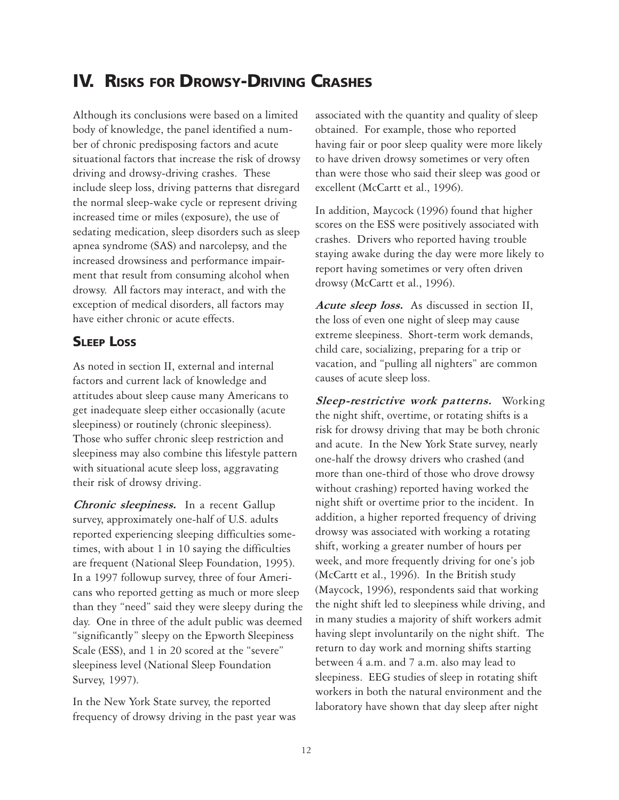# **IV. RISKS FOR DROWSY-DRIVING CRASHES**

Although its conclusions were based on a limited body of knowledge, the panel identified a number of chronic predisposing factors and acute situational factors that increase the risk of drowsy driving and drowsy-driving crashes. These include sleep loss, driving patterns that disregard the normal sleep-wake cycle or represent driving increased time or miles (exposure), the use of sedating medication, sleep disorders such as sleep apnea syndrome (SAS) and narcolepsy, and the increased drowsiness and performance impairment that result from consuming alcohol when drowsy. All factors may interact, and with the exception of medical disorders, all factors may have either chronic or acute effects.

#### **SLEEP LOSS**

As noted in section II, external and internal factors and current lack of knowledge and attitudes about sleep cause many Americans to get inadequate sleep either occasionally (acute sleepiness) or routinely (chronic sleepiness). Those who suffer chronic sleep restriction and sleepiness may also combine this lifestyle pattern with situational acute sleep loss, aggravating their risk of drowsy driving.

Chronic sleepiness.In a recent Gallup survey, approximately one-half of U.S. adults reported experiencing sleeping difficulties sometimes, with about 1 in 10 saying the difficulties are frequent (National Sleep Foundation, 1995). In a 1997 followup survey, three of four Americans who reported getting as much or more sleep than they "need" said they were sleepy during the day. One in three of the adult public was deemed "significantly" sleepy on the Epworth Sleepiness Scale (ESS), and 1 in 20 scored at the "severe" sleepiness level (National Sleep Foundation Survey, 1997).

In the New York State survey, the reported frequency of drowsy driving in the past year was associated with the quantity and quality of sleep obtained. For example, those who reported having fair or poor sleep quality were more likely to have driven drowsy sometimes or very often than were those who said their sleep was good or excellent (McCartt et al., 1996).

In addition, Maycock (1996) found that higher scores on the ESS were positively associated with crashes. Drivers who reported having trouble staying awake during the day were more likely to report having sometimes or very often driven drowsy (McCartt et al., 1996).

Acute sleep loss. As discussed in section II, the loss of even one night of sleep may cause extreme sleepiness. Short-term work demands, child care, socializing, preparing for a trip or vacation, and "pulling all nighters" are common causes of acute sleep loss.

Sleep-restrictive work patterns. Working the night shift, overtime, or rotating shifts is a risk for drowsy driving that may be both chronic and acute. In the New York State survey, nearly one-half the drowsy drivers who crashed (and more than one-third of those who drove drowsy without crashing) reported having worked the night shift or overtime prior to the incident. In addition, a higher reported frequency of driving drowsy was associated with working a rotating shift, working a greater number of hours per week, and more frequently driving for one's job (McCartt et al., 1996). In the British study (Maycock, 1996), respondents said that working the night shift led to sleepiness while driving, and in many studies a majority of shift workers admit having slept involuntarily on the night shift. The return to day work and morning shifts starting between 4 a.m. and 7 a.m. also may lead to sleepiness. EEG studies of sleep in rotating shift workers in both the natural environment and the laboratory have shown that day sleep after night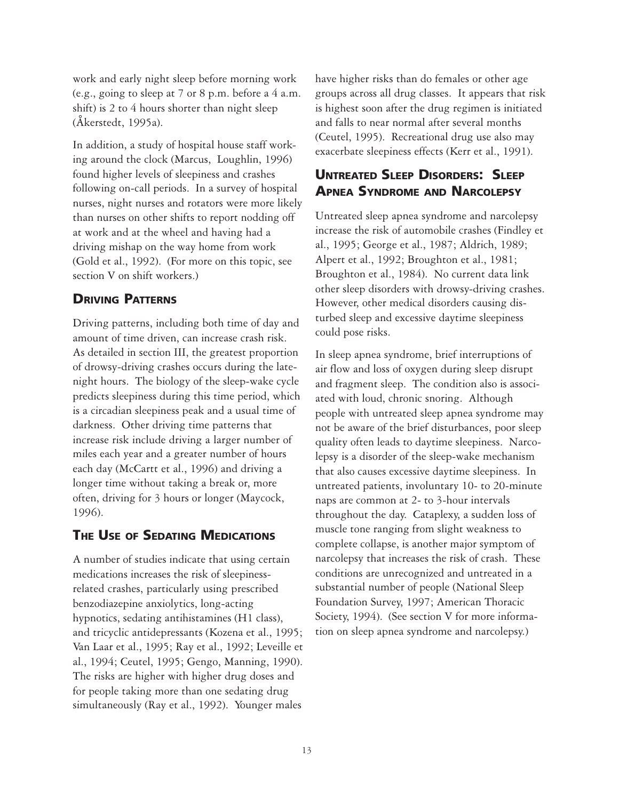work and early night sleep before morning work (e.g., going to sleep at 7 or 8 p.m. before a 4 a.m. shift) is 2 to 4 hours shorter than night sleep (Åkerstedt, 1995a).

In addition, a study of hospital house staff working around the clock (Marcus, Loughlin, 1996) found higher levels of sleepiness and crashes following on-call periods. In a survey of hospital nurses, night nurses and rotators were more likely than nurses on other shifts to report nodding off at work and at the wheel and having had a driving mishap on the way home from work (Gold et al., 1992). (For more on this topic, see section V on shift workers.)

#### **DRIVING PATTERNS**

Driving patterns, including both time of day and amount of time driven, can increase crash risk. As detailed in section III, the greatest proportion of drowsy-driving crashes occurs during the latenight hours. The biology of the sleep-wake cycle predicts sleepiness during this time period, which is a circadian sleepiness peak and a usual time of darkness. Other driving time patterns that increase risk include driving a larger number of miles each year and a greater number of hours each day (McCartt et al., 1996) and driving a longer time without taking a break or, more often, driving for 3 hours or longer (Maycock, 1996).

#### **THE USE OF SEDATING MEDICATIONS**

A number of studies indicate that using certain medications increases the risk of sleepinessrelated crashes, particularly using prescribed benzodiazepine anxiolytics, long-acting hypnotics, sedating antihistamines (H1 class), and tricyclic antidepressants (Kozena et al., 1995; Van Laar et al., 1995; Ray et al., 1992; Leveille et al., 1994; Ceutel, 1995; Gengo, Manning, 1990). The risks are higher with higher drug doses and for people taking more than one sedating drug simultaneously (Ray et al., 1992). Younger males

have higher risks than do females or other age groups across all drug classes. It appears that risk is highest soon after the drug regimen is initiated and falls to near normal after several months (Ceutel, 1995). Recreational drug use also may exacerbate sleepiness effects (Kerr et al., 1991).

### **UNTREATED SLEEP DISORDERS: SLEEP APNEA SYNDROME AND NARCOLEPSY**

Untreated sleep apnea syndrome and narcolepsy increase the risk of automobile crashes (Findley et al., 1995; George et al., 1987; Aldrich, 1989; Alpert et al., 1992; Broughton et al., 1981; Broughton et al., 1984). No current data link other sleep disorders with drowsy-driving crashes. However, other medical disorders causing disturbed sleep and excessive daytime sleepiness could pose risks.

In sleep apnea syndrome, brief interruptions of air flow and loss of oxygen during sleep disrupt and fragment sleep. The condition also is associated with loud, chronic snoring. Although people with untreated sleep apnea syndrome may not be aware of the brief disturbances, poor sleep quality often leads to daytime sleepiness. Narcolepsy is a disorder of the sleep-wake mechanism that also causes excessive daytime sleepiness. In untreated patients, involuntary 10- to 20-minute naps are common at 2- to 3-hour intervals throughout the day. Cataplexy, a sudden loss of muscle tone ranging from slight weakness to complete collapse, is another major symptom of narcolepsy that increases the risk of crash. These conditions are unrecognized and untreated in a substantial number of people (National Sleep Foundation Survey, 1997; American Thoracic Society, 1994). (See section V for more information on sleep apnea syndrome and narcolepsy.)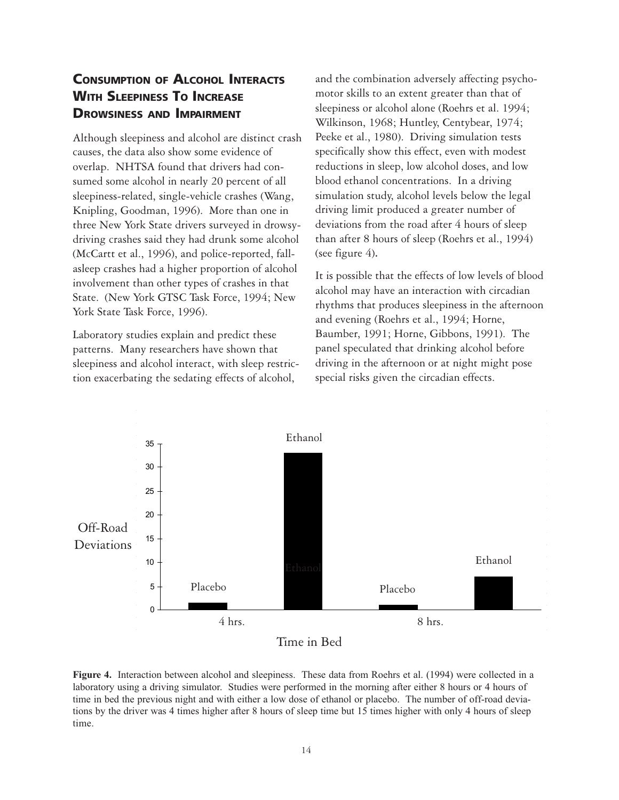### **CONSUMPTION OF ALCOHOL INTERACTS WITH SLEEPINESS TO INCREASE DROWSINESS AND IMPAIRMENT**

Although sleepiness and alcohol are distinct crash causes, the data also show some evidence of overlap. NHTSA found that drivers had consumed some alcohol in nearly 20 percent of all sleepiness-related, single-vehicle crashes (Wang, Knipling, Goodman, 1996). More than one in three New York State drivers surveyed in drowsydriving crashes said they had drunk some alcohol (McCartt et al., 1996), and police-reported, fallasleep crashes had a higher proportion of alcohol involvement than other types of crashes in that State. (New York GTSC Task Force, 1994; New York State Task Force, 1996).

Laboratory studies explain and predict these patterns. Many researchers have shown that sleepiness and alcohol interact, with sleep restriction exacerbating the sedating effects of alcohol,

and the combination adversely affecting psychomotor skills to an extent greater than that of sleepiness or alcohol alone (Roehrs et al. 1994; Wilkinson, 1968; Huntley, Centybear, 1974; Peeke et al., 1980). Driving simulation tests specifically show this effect, even with modest reductions in sleep, low alcohol doses, and low blood ethanol concentrations. In a driving simulation study, alcohol levels below the legal driving limit produced a greater number of deviations from the road after 4 hours of sleep than after 8 hours of sleep (Roehrs et al., 1994) (see figure  $4$ ).

It is possible that the effects of low levels of blood alcohol may have an interaction with circadian rhythms that produces sleepiness in the afternoon and evening (Roehrs et al., 1994; Horne, Baumber, 1991; Horne, Gibbons, 1991). The panel speculated that drinking alcohol before driving in the afternoon or at night might pose special risks given the circadian effects.



Time in Bed

Figure 4. Interaction between alcohol and sleepiness. These data from Roehrs et al. (1994) were collected in a laboratory using a driving simulator. Studies were performed in the morning after either 8 hours or 4 hours of time in bed the previous night and with either a low dose of ethanol or placebo. The number of off-road deviations by the driver was 4 times higher after 8 hours of sleep time but 15 times higher with only 4 hours of sleep time.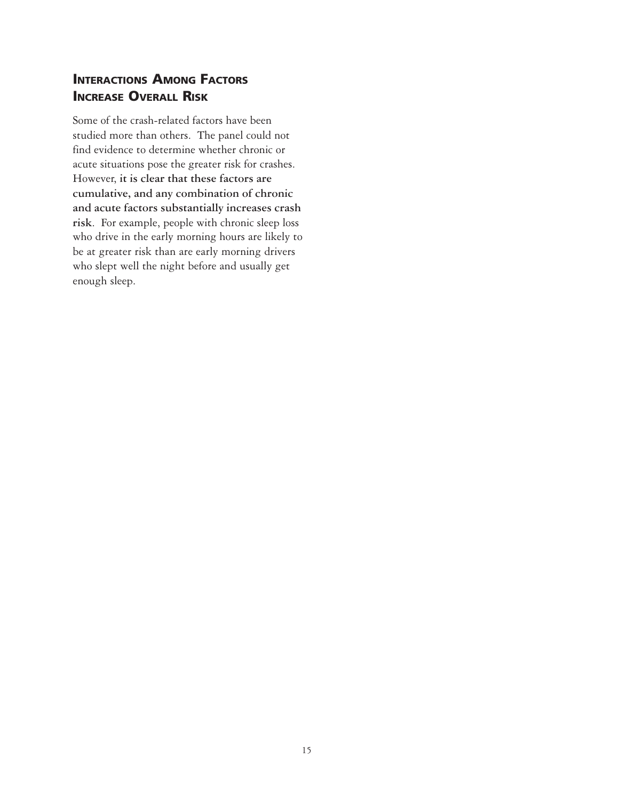### **INTERACTIONS AMONG FACTORS INCREASE OVERALL RISK**

Some of the crash-related factors have been studied more than others. The panel could not find evidence to determine whether chronic or acute situations pose the greater risk for crashes. However, **it is clear that these factors are cumulative, and any combination of chronic and acute factors substantially increases crash risk**. For example, people with chronic sleep loss who drive in the early morning hours are likely to be at greater risk than are early morning drivers who slept well the night before and usually get enough sleep.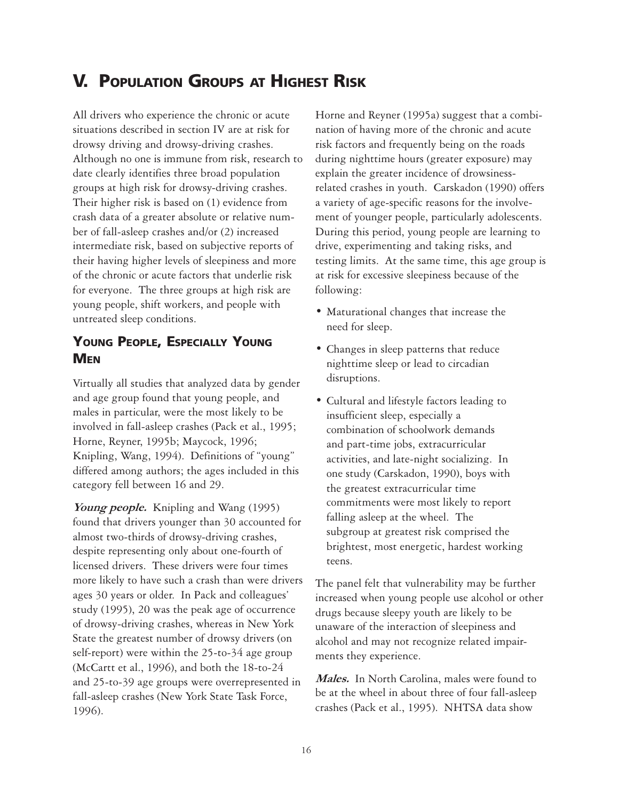# **V. POPULATION GROUPS AT HIGHEST RISK**

All drivers who experience the chronic or acute situations described in section IV are at risk for drowsy driving and drowsy-driving crashes. Although no one is immune from risk, research to date clearly identifies three broad population groups at high risk for drowsy-driving crashes. Their higher risk is based on (1) evidence from crash data of a greater absolute or relative number of fall-asleep crashes and/or (2) increased intermediate risk, based on subjective reports of their having higher levels of sleepiness and more of the chronic or acute factors that underlie risk for everyone. The three groups at high risk are young people, shift workers, and people with untreated sleep conditions.

### **YOUNG PEOPLE, ESPECIALLY YOUNG MEN**

Virtually all studies that analyzed data by gender and age group found that young people, and males in particular, were the most likely to be involved in fall-asleep crashes (Pack et al., 1995; Horne, Reyner, 1995b; Maycock, 1996; Knipling, Wang, 1994). Definitions of "young" differed among authors; the ages included in this category fell between 16 and 29.

Young people. Knipling and Wang (1995) found that drivers younger than 30 accounted for almost two-thirds of drowsy-driving crashes, despite representing only about one-fourth of licensed drivers. These drivers were four times more likely to have such a crash than were drivers ages 30 years or older. In Pack and colleagues' study (1995), 20 was the peak age of occurrence of drowsy-driving crashes, whereas in New York State the greatest number of drowsy drivers (on self-report) were within the 25-to-34 age group (McCartt et al., 1996), and both the 18-to-24 and 25-to-39 age groups were overrepresented in fall-asleep crashes (New York State Task Force, 1996).

Horne and Reyner (1995a) suggest that a combination of having more of the chronic and acute risk factors and frequently being on the roads during nighttime hours (greater exposure) may explain the greater incidence of drowsinessrelated crashes in youth. Carskadon (1990) offers a variety of age-specific reasons for the involvement of younger people, particularly adolescents. During this period, young people are learning to drive, experimenting and taking risks, and testing limits. At the same time, this age group is at risk for excessive sleepiness because of the following:

- Maturational changes that increase the need for sleep.
- Changes in sleep patterns that reduce nighttime sleep or lead to circadian disruptions.
- Cultural and lifestyle factors leading to insufficient sleep, especially a combination of schoolwork demands and part-time jobs, extracurricular activities, and late-night socializing. In one study (Carskadon, 1990), boys with the greatest extracurricular time commitments were most likely to report falling asleep at the wheel. The subgroup at greatest risk comprised the brightest, most energetic, hardest working teens.

The panel felt that vulnerability may be further increased when young people use alcohol or other drugs because sleepy youth are likely to be unaware of the interaction of sleepiness and alcohol and may not recognize related impairments they experience.

Males. In North Carolina, males were found to be at the wheel in about three of four fall-asleep crashes (Pack et al., 1995). NHTSA data show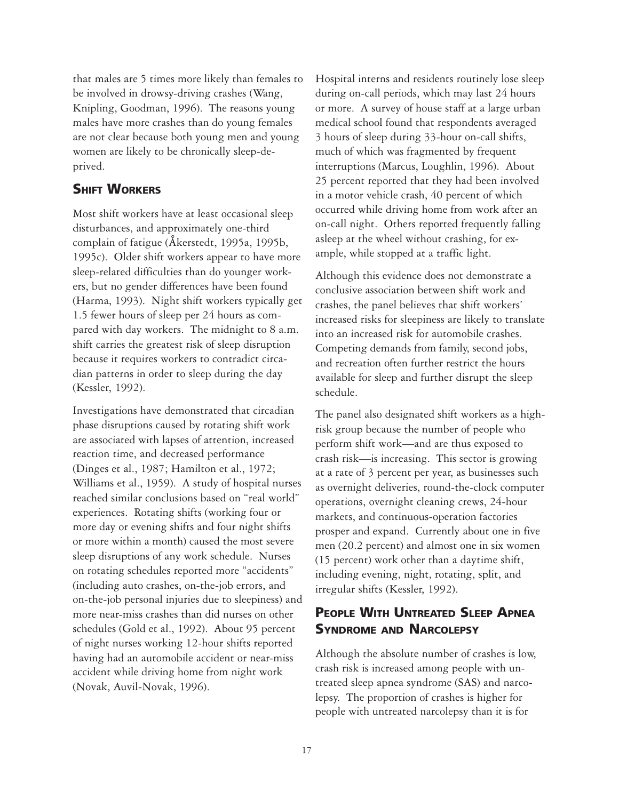that males are 5 times more likely than females to be involved in drowsy-driving crashes (Wang, Knipling, Goodman, 1996). The reasons young males have more crashes than do young females are not clear because both young men and young women are likely to be chronically sleep-deprived.

#### **SHIFT WORKERS**

Most shift workers have at least occasional sleep disturbances, and approximately one-third complain of fatigue (Åkerstedt, 1995a, 1995b, 1995c). Older shift workers appear to have more sleep-related difficulties than do younger workers, but no gender differences have been found (Harma, 1993). Night shift workers typically get 1.5 fewer hours of sleep per 24 hours as compared with day workers. The midnight to 8 a.m. shift carries the greatest risk of sleep disruption because it requires workers to contradict circadian patterns in order to sleep during the day (Kessler, 1992).

Investigations have demonstrated that circadian phase disruptions caused by rotating shift work are associated with lapses of attention, increased reaction time, and decreased performance (Dinges et al., 1987; Hamilton et al., 1972; Williams et al., 1959). A study of hospital nurses reached similar conclusions based on "real world" experiences. Rotating shifts (working four or more day or evening shifts and four night shifts or more within a month) caused the most severe sleep disruptions of any work schedule. Nurses on rotating schedules reported more "accidents" (including auto crashes, on-the-job errors, and on-the-job personal injuries due to sleepiness) and more near-miss crashes than did nurses on other schedules (Gold et al., 1992). About 95 percent of night nurses working 12-hour shifts reported having had an automobile accident or near-miss accident while driving home from night work (Novak, Auvil-Novak, 1996).

Hospital interns and residents routinely lose sleep during on-call periods, which may last 24 hours or more. A survey of house staff at a large urban medical school found that respondents averaged 3 hours of sleep during 33-hour on-call shifts, much of which was fragmented by frequent interruptions (Marcus, Loughlin, 1996). About 25 percent reported that they had been involved in a motor vehicle crash, 40 percent of which occurred while driving home from work after an on-call night. Others reported frequently falling asleep at the wheel without crashing, for example, while stopped at a traffic light.

Although this evidence does not demonstrate a conclusive association between shift work and crashes, the panel believes that shift workers' increased risks for sleepiness are likely to translate into an increased risk for automobile crashes. Competing demands from family, second jobs, and recreation often further restrict the hours available for sleep and further disrupt the sleep schedule.

The panel also designated shift workers as a highrisk group because the number of people who perform shift work—and are thus exposed to crash risk—is increasing. This sector is growing at a rate of 3 percent per year, as businesses such as overnight deliveries, round-the-clock computer operations, overnight cleaning crews, 24-hour markets, and continuous-operation factories prosper and expand. Currently about one in five men (20.2 percent) and almost one in six women (15 percent) work other than a daytime shift, including evening, night, rotating, split, and irregular shifts (Kessler, 1992).

### **PEOPLE WITH UNTREATED SLEEP APNEA SYNDROME AND NARCOLEPSY**

Although the absolute number of crashes is low, crash risk is increased among people with untreated sleep apnea syndrome (SAS) and narcolepsy. The proportion of crashes is higher for people with untreated narcolepsy than it is for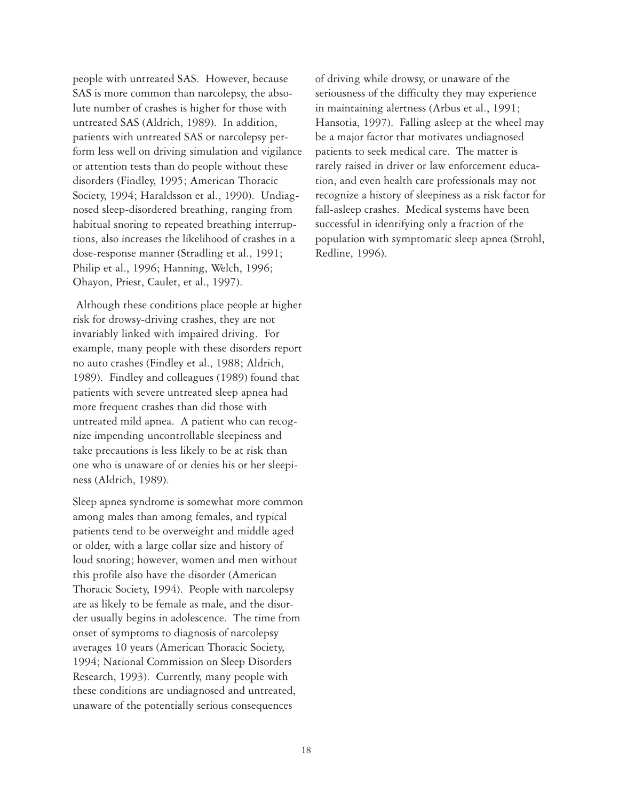people with untreated SAS. However, because SAS is more common than narcolepsy, the absolute number of crashes is higher for those with untreated SAS (Aldrich, 1989). In addition, patients with untreated SAS or narcolepsy perform less well on driving simulation and vigilance or attention tests than do people without these disorders (Findley, 1995; American Thoracic Society, 1994; Haraldsson et al., 1990). Undiagnosed sleep-disordered breathing, ranging from habitual snoring to repeated breathing interruptions, also increases the likelihood of crashes in a dose-response manner (Stradling et al., 1991; Philip et al., 1996; Hanning, Welch, 1996; Ohayon, Priest, Caulet, et al., 1997).

 Although these conditions place people at higher risk for drowsy-driving crashes, they are not invariably linked with impaired driving. For example, many people with these disorders report no auto crashes (Findley et al., 1988; Aldrich, 1989). Findley and colleagues (1989) found that patients with severe untreated sleep apnea had more frequent crashes than did those with untreated mild apnea. A patient who can recognize impending uncontrollable sleepiness and take precautions is less likely to be at risk than one who is unaware of or denies his or her sleepiness (Aldrich, 1989).

Sleep apnea syndrome is somewhat more common among males than among females, and typical patients tend to be overweight and middle aged or older, with a large collar size and history of loud snoring; however, women and men without this profile also have the disorder (American Thoracic Society, 1994). People with narcolepsy are as likely to be female as male, and the disorder usually begins in adolescence. The time from onset of symptoms to diagnosis of narcolepsy averages 10 years (American Thoracic Society, 1994; National Commission on Sleep Disorders Research, 1993). Currently, many people with these conditions are undiagnosed and untreated, unaware of the potentially serious consequences

of driving while drowsy, or unaware of the seriousness of the difficulty they may experience in maintaining alertness (Arbus et al., 1991; Hansotia, 1997). Falling asleep at the wheel may be a major factor that motivates undiagnosed patients to seek medical care. The matter is rarely raised in driver or law enforcement education, and even health care professionals may not recognize a history of sleepiness as a risk factor for fall-asleep crashes. Medical systems have been successful in identifying only a fraction of the population with symptomatic sleep apnea (Strohl, Redline, 1996).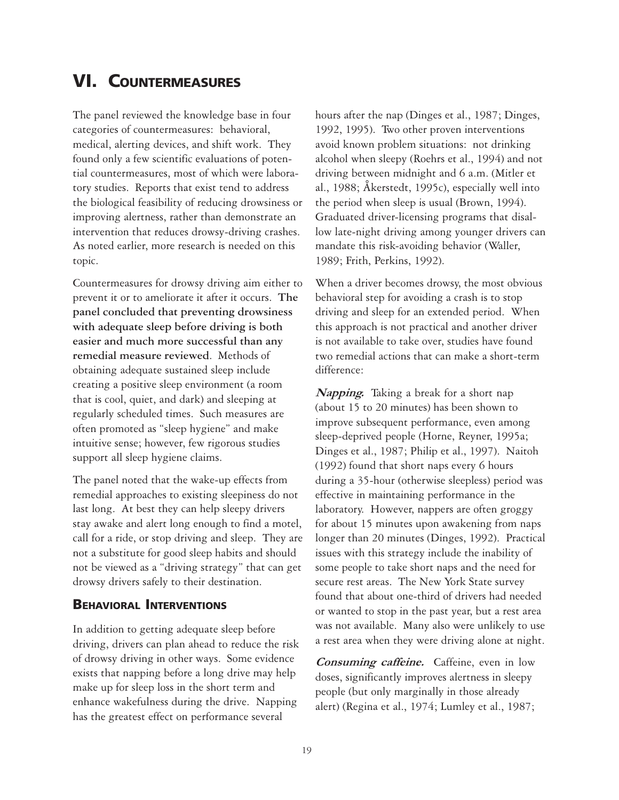# **VI. COUNTERMEASURES**

The panel reviewed the knowledge base in four categories of countermeasures: behavioral, medical, alerting devices, and shift work. They found only a few scientific evaluations of potential countermeasures, most of which were laboratory studies. Reports that exist tend to address the biological feasibility of reducing drowsiness or improving alertness, rather than demonstrate an intervention that reduces drowsy-driving crashes. As noted earlier, more research is needed on this topic.

Countermeasures for drowsy driving aim either to prevent it or to ameliorate it after it occurs. **The panel concluded that preventing drowsiness with adequate sleep before driving is both easier and much more successful than any remedial measure reviewed**. Methods of obtaining adequate sustained sleep include creating a positive sleep environment (a room that is cool, quiet, and dark) and sleeping at regularly scheduled times. Such measures are often promoted as "sleep hygiene" and make intuitive sense; however, few rigorous studies support all sleep hygiene claims.

The panel noted that the wake-up effects from remedial approaches to existing sleepiness do not last long. At best they can help sleepy drivers stay awake and alert long enough to find a motel, call for a ride, or stop driving and sleep. They are not a substitute for good sleep habits and should not be viewed as a "driving strategy" that can get drowsy drivers safely to their destination.

#### **BEHAVIORAL INTERVENTIONS**

In addition to getting adequate sleep before driving, drivers can plan ahead to reduce the risk of drowsy driving in other ways. Some evidence exists that napping before a long drive may help make up for sleep loss in the short term and enhance wakefulness during the drive. Napping has the greatest effect on performance several

hours after the nap (Dinges et al., 1987; Dinges, 1992, 1995). Two other proven interventions avoid known problem situations: not drinking alcohol when sleepy (Roehrs et al., 1994) and not driving between midnight and 6 a.m. (Mitler et al., 1988; Åkerstedt, 1995c), especially well into the period when sleep is usual (Brown, 1994). Graduated driver-licensing programs that disallow late-night driving among younger drivers can mandate this risk-avoiding behavior (Waller, 1989; Frith, Perkins, 1992).

When a driver becomes drowsy, the most obvious behavioral step for avoiding a crash is to stop driving and sleep for an extended period. When this approach is not practical and another driver is not available to take over, studies have found two remedial actions that can make a short-term difference:

Napping. Taking a break for a short nap (about 15 to 20 minutes) has been shown to improve subsequent performance, even among sleep-deprived people (Horne, Reyner, 1995a; Dinges et al., 1987; Philip et al., 1997). Naitoh (1992) found that short naps every 6 hours during a 35-hour (otherwise sleepless) period was effective in maintaining performance in the laboratory. However, nappers are often groggy for about 15 minutes upon awakening from naps longer than 20 minutes (Dinges, 1992). Practical issues with this strategy include the inability of some people to take short naps and the need for secure rest areas. The New York State survey found that about one-third of drivers had needed or wanted to stop in the past year, but a rest area was not available. Many also were unlikely to use a rest area when they were driving alone at night.

Consuming caffeine. Caffeine, even in low doses, significantly improves alertness in sleepy people (but only marginally in those already alert) (Regina et al., 1974; Lumley et al., 1987;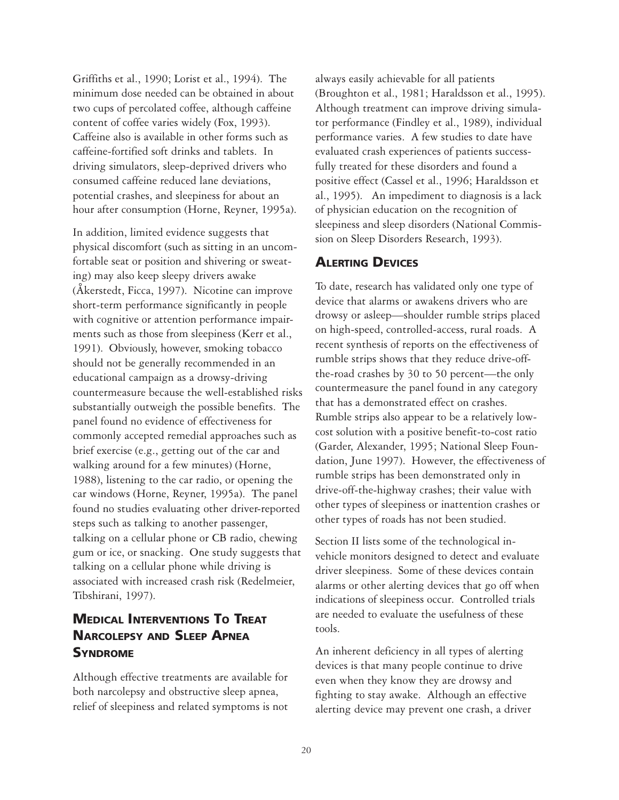Griffiths et al., 1990; Lorist et al., 1994). The minimum dose needed can be obtained in about two cups of percolated coffee, although caffeine content of coffee varies widely (Fox, 1993). Caffeine also is available in other forms such as caffeine-fortified soft drinks and tablets. In driving simulators, sleep-deprived drivers who consumed caffeine reduced lane deviations, potential crashes, and sleepiness for about an hour after consumption (Horne, Reyner, 1995a).

In addition, limited evidence suggests that physical discomfort (such as sitting in an uncomfortable seat or position and shivering or sweating) may also keep sleepy drivers awake (Åkerstedt, Ficca, 1997). Nicotine can improve short-term performance significantly in people with cognitive or attention performance impairments such as those from sleepiness (Kerr et al., 1991). Obviously, however, smoking tobacco should not be generally recommended in an educational campaign as a drowsy-driving countermeasure because the well-established risks substantially outweigh the possible benefits. The panel found no evidence of effectiveness for commonly accepted remedial approaches such as brief exercise (e.g., getting out of the car and walking around for a few minutes) (Horne, 1988), listening to the car radio, or opening the car windows (Horne, Reyner, 1995a). The panel found no studies evaluating other driver-reported steps such as talking to another passenger, talking on a cellular phone or CB radio, chewing gum or ice, or snacking. One study suggests that talking on a cellular phone while driving is associated with increased crash risk (Redelmeier, Tibshirani, 1997).

### **MEDICAL INTERVENTIONS TO TREAT NARCOLEPSY AND SLEEP APNEA SYNDROME**

Although effective treatments are available for both narcolepsy and obstructive sleep apnea, relief of sleepiness and related symptoms is not

always easily achievable for all patients (Broughton et al., 1981; Haraldsson et al., 1995). Although treatment can improve driving simulator performance (Findley et al., 1989), individual performance varies. A few studies to date have evaluated crash experiences of patients successfully treated for these disorders and found a positive effect (Cassel et al., 1996; Haraldsson et al., 1995). An impediment to diagnosis is a lack of physician education on the recognition of sleepiness and sleep disorders (National Commission on Sleep Disorders Research, 1993).

#### **ALERTING DEVICES**

To date, research has validated only one type of device that alarms or awakens drivers who are drowsy or asleep—shoulder rumble strips placed on high-speed, controlled-access, rural roads. A recent synthesis of reports on the effectiveness of rumble strips shows that they reduce drive-offthe-road crashes by 30 to 50 percent—the only countermeasure the panel found in any category that has a demonstrated effect on crashes. Rumble strips also appear to be a relatively lowcost solution with a positive benefit-to-cost ratio (Garder, Alexander, 1995; National Sleep Foundation, June 1997). However, the effectiveness of rumble strips has been demonstrated only in drive-off-the-highway crashes; their value with other types of sleepiness or inattention crashes or other types of roads has not been studied.

Section II lists some of the technological invehicle monitors designed to detect and evaluate driver sleepiness. Some of these devices contain alarms or other alerting devices that go off when indications of sleepiness occur. Controlled trials are needed to evaluate the usefulness of these tools.

An inherent deficiency in all types of alerting devices is that many people continue to drive even when they know they are drowsy and fighting to stay awake. Although an effective alerting device may prevent one crash, a driver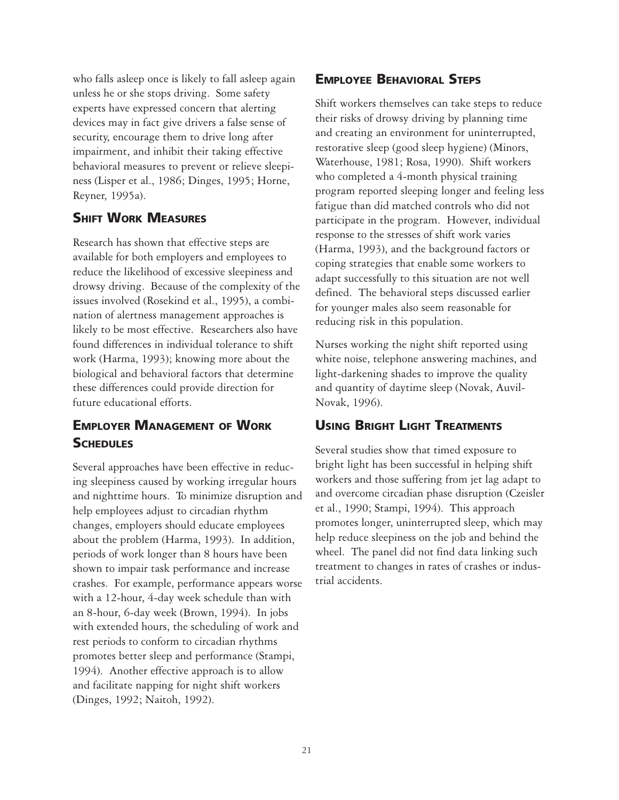who falls asleep once is likely to fall asleep again unless he or she stops driving. Some safety experts have expressed concern that alerting devices may in fact give drivers a false sense of security, encourage them to drive long after impairment, and inhibit their taking effective behavioral measures to prevent or relieve sleepiness (Lisper et al., 1986; Dinges, 1995; Horne, Reyner, 1995a).

#### **SHIFT WORK MEASURES**

Research has shown that effective steps are available for both employers and employees to reduce the likelihood of excessive sleepiness and drowsy driving. Because of the complexity of the issues involved (Rosekind et al., 1995), a combination of alertness management approaches is likely to be most effective. Researchers also have found differences in individual tolerance to shift work (Harma, 1993); knowing more about the biological and behavioral factors that determine these differences could provide direction for future educational efforts.

### **EMPLOYER MANAGEMENT OF WORK SCHEDULES**

Several approaches have been effective in reducing sleepiness caused by working irregular hours and nighttime hours. To minimize disruption and help employees adjust to circadian rhythm changes, employers should educate employees about the problem (Harma, 1993). In addition, periods of work longer than 8 hours have been shown to impair task performance and increase crashes. For example, performance appears worse with a 12-hour, 4-day week schedule than with an 8-hour, 6-day week (Brown, 1994). In jobs with extended hours, the scheduling of work and rest periods to conform to circadian rhythms promotes better sleep and performance (Stampi, 1994). Another effective approach is to allow and facilitate napping for night shift workers (Dinges, 1992; Naitoh, 1992).

### **EMPLOYEE BEHAVIORAL STEPS**

Shift workers themselves can take steps to reduce their risks of drowsy driving by planning time and creating an environment for uninterrupted, restorative sleep (good sleep hygiene) (Minors, Waterhouse, 1981; Rosa, 1990). Shift workers who completed a 4-month physical training program reported sleeping longer and feeling less fatigue than did matched controls who did not participate in the program. However, individual response to the stresses of shift work varies (Harma, 1993), and the background factors or coping strategies that enable some workers to adapt successfully to this situation are not well defined. The behavioral steps discussed earlier for younger males also seem reasonable for reducing risk in this population.

Nurses working the night shift reported using white noise, telephone answering machines, and light-darkening shades to improve the quality and quantity of daytime sleep (Novak, Auvil-Novak, 1996).

### **USING BRIGHT LIGHT TREATMENTS**

Several studies show that timed exposure to bright light has been successful in helping shift workers and those suffering from jet lag adapt to and overcome circadian phase disruption (Czeisler et al., 1990; Stampi, 1994). This approach promotes longer, uninterrupted sleep, which may help reduce sleepiness on the job and behind the wheel. The panel did not find data linking such treatment to changes in rates of crashes or industrial accidents.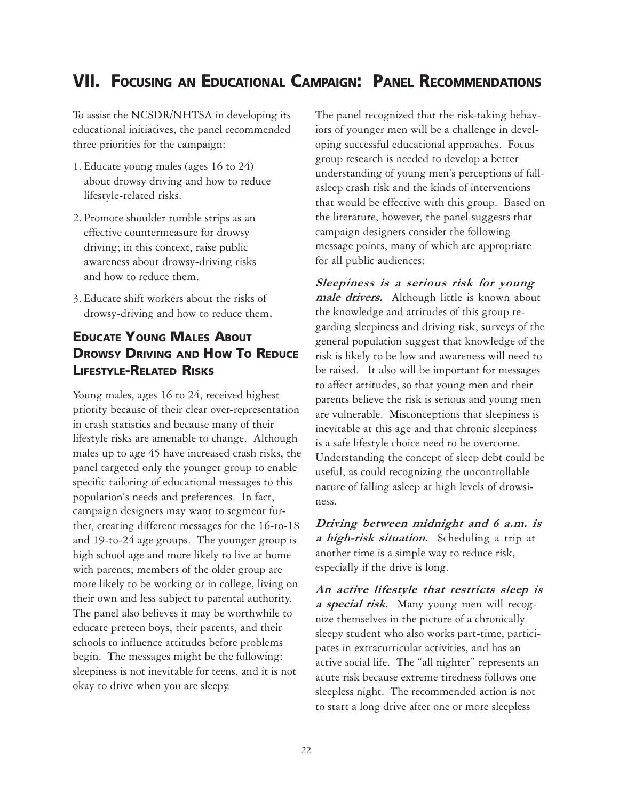# **VII. FOCUSING AN EDUCATIONAL CAMPAIGN: PANEL RECOMMENDATIONS**

To assist the NCSDR/NHTSA in developing its educational initiatives, the panel recommended three priorities for the campaign:

- 1. Educate young males (ages 16 to 24) about drowsy driving and how to reduce lifestyle-related risks.
- 2. Promote shoulder rumble strips as an effective countermeasure for drowsy driving; in this context, raise public awareness about drowsy-driving risks and how to reduce them.
- 3. Educate shift workers about the risks of drowsy-driving and how to reduce them**.**

### **EDUCATE YOUNG MALES ABOUT DROWSY DRIVING AND HOW TO REDUCE LIFESTYLE-RELATED RISKS**

Young males, ages 16 to 24, received highest priority because of their clear over-representation in crash statistics and because many of their lifestyle risks are amenable to change. Although males up to age 45 have increased crash risks, the panel targeted only the younger group to enable specific tailoring of educational messages to this population's needs and preferences. In fact, campaign designers may want to segment further, creating different messages for the 16-to-18 and 19-to-24 age groups. The younger group is high school age and more likely to live at home with parents; members of the older group are more likely to be working or in college, living on their own and less subject to parental authority. The panel also believes it may be worthwhile to educate preteen boys, their parents, and their schools to influence attitudes before problems begin. The messages might be the following: sleepiness is not inevitable for teens, and it is not okay to drive when you are sleepy.

The panel recognized that the risk-taking behaviors of younger men will be a challenge in developing successful educational approaches. Focus group research is needed to develop a better understanding of young men's perceptions of fallasleep crash risk and the kinds of interventions that would be effective with this group. Based on the literature, however, the panel suggests that campaign designers consider the following message points, many of which are appropriate for all public audiences:

Sleepiness is a serious risk for young male drivers. Although little is known about the knowledge and attitudes of this group regarding sleepiness and driving risk, surveys of the general population suggest that knowledge of the risk is likely to be low and awareness will need to be raised. It also will be important for messages to affect attitudes, so that young men and their parents believe the risk is serious and young men are vulnerable. Misconceptions that sleepiness is inevitable at this age and that chronic sleepiness is a safe lifestyle choice need to be overcome. Understanding the concept of sleep debt could be useful, as could recognizing the uncontrollable nature of falling asleep at high levels of drowsiness.

Driving between midnight and 6 a.m. is a high-risk situation. Scheduling a trip at another time is a simple way to reduce risk, especially if the drive is long.

An active lifestyle that restricts sleep is a special risk. Many young men will recognize themselves in the picture of a chronically sleepy student who also works part-time, participates in extracurricular activities, and has an active social life. The "all nighter" represents an acute risk because extreme tiredness follows one sleepless night. The recommended action is not to start a long drive after one or more sleepless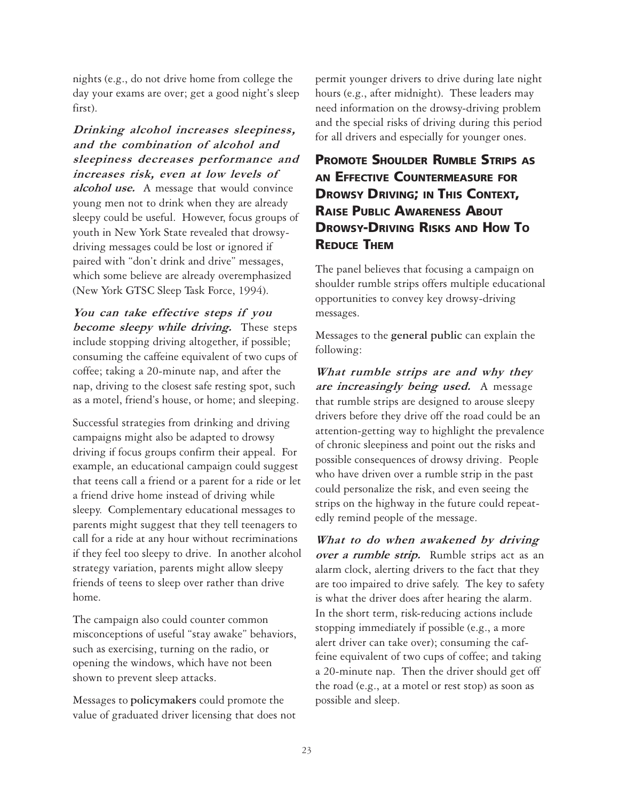nights (e.g., do not drive home from college the day your exams are over; get a good night's sleep first).

Drinking alcohol increases sleepiness, and the combination of alcohol and sleepiness decreases performance and increases risk, even at low levels of alcohol use. A message that would convince young men not to drink when they are already sleepy could be useful. However, focus groups of youth in New York State revealed that drowsydriving messages could be lost or ignored if paired with "don't drink and drive" messages, which some believe are already overemphasized (New York GTSC Sleep Task Force, 1994).

You can take effective steps if you become sleepy while driving. These steps include stopping driving altogether, if possible; consuming the caffeine equivalent of two cups of coffee; taking a 20-minute nap, and after the nap, driving to the closest safe resting spot, such as a motel, friend's house, or home; and sleeping.

Successful strategies from drinking and driving campaigns might also be adapted to drowsy driving if focus groups confirm their appeal. For example, an educational campaign could suggest that teens call a friend or a parent for a ride or let a friend drive home instead of driving while sleepy. Complementary educational messages to parents might suggest that they tell teenagers to call for a ride at any hour without recriminations if they feel too sleepy to drive. In another alcohol strategy variation, parents might allow sleepy friends of teens to sleep over rather than drive home.

The campaign also could counter common misconceptions of useful "stay awake" behaviors, such as exercising, turning on the radio, or opening the windows, which have not been shown to prevent sleep attacks.

Messages to **policymakers** could promote the value of graduated driver licensing that does not permit younger drivers to drive during late night hours (e.g., after midnight). These leaders may need information on the drowsy-driving problem and the special risks of driving during this period for all drivers and especially for younger ones.

# **PROMOTE SHOULDER RUMBLE STRIPS AS AN EFFECTIVE COUNTERMEASURE FOR DROWSY DRIVING; IN THIS CONTEXT, RAISE PUBLIC AWARENESS ABOUT DROWSY-DRIVING RISKS AND HOW TO REDUCE THEM**

The panel believes that focusing a campaign on shoulder rumble strips offers multiple educational opportunities to convey key drowsy-driving messages.

Messages to the **general public** can explain the following:

What rumble strips are and why they are increasingly being used. A message that rumble strips are designed to arouse sleepy drivers before they drive off the road could be an attention-getting way to highlight the prevalence of chronic sleepiness and point out the risks and possible consequences of drowsy driving. People who have driven over a rumble strip in the past could personalize the risk, and even seeing the strips on the highway in the future could repeatedly remind people of the message.

What to do when awakened by driving over a rumble strip. Rumble strips act as an alarm clock, alerting drivers to the fact that they are too impaired to drive safely. The key to safety is what the driver does after hearing the alarm. In the short term, risk-reducing actions include stopping immediately if possible (e.g., a more alert driver can take over); consuming the caffeine equivalent of two cups of coffee; and taking a 20-minute nap. Then the driver should get off the road (e.g., at a motel or rest stop) as soon as possible and sleep.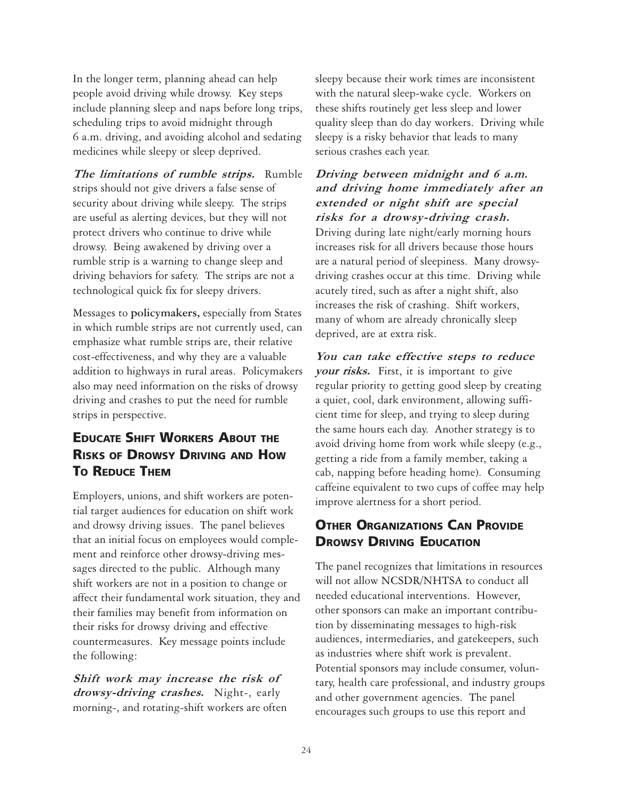In the longer term, planning ahead can help people avoid driving while drowsy. Key steps include planning sleep and naps before long trips, scheduling trips to avoid midnight through 6 a.m. driving, and avoiding alcohol and sedating medicines while sleepy or sleep deprived.

The limitations of rumble strips. Rumble strips should not give drivers a false sense of security about driving while sleepy. The strips are useful as alerting devices, but they will not protect drivers who continue to drive while drowsy. Being awakened by driving over a rumble strip is a warning to change sleep and driving behaviors for safety. The strips are not a technological quick fix for sleepy drivers.

Messages to **policymakers,** especially from States in which rumble strips are not currently used, can emphasize what rumble strips are, their relative cost-effectiveness, and why they are a valuable addition to highways in rural areas. Policymakers also may need information on the risks of drowsy driving and crashes to put the need for rumble strips in perspective.

# **EDUCATE SHIFT WORKERS ABOUT THE RISKS OF DROWSY DRIVING AND HOW TO REDUCE THEM**

Employers, unions, and shift workers are potential target audiences for education on shift work and drowsy driving issues. The panel believes that an initial focus on employees would complement and reinforce other drowsy-driving messages directed to the public. Although many shift workers are not in a position to change or affect their fundamental work situation, they and their families may benefit from information on their risks for drowsy driving and effective countermeasures. Key message points include the following:

Shift work may increase the risk of drowsy-driving crashes. Night-, early morning-, and rotating-shift workers are often

sleepy because their work times are inconsistent with the natural sleep-wake cycle. Workers on these shifts routinely get less sleep and lower quality sleep than do day workers. Driving while sleepy is a risky behavior that leads to many serious crashes each year.

Driving between midnight and 6 a.m. and driving home immediately after an extended or night shift are special risks for a drowsy-driving crash. Driving during late night/early morning hours increases risk for all drivers because those hours are a natural period of sleepiness. Many drowsydriving crashes occur at this time. Driving while acutely tired, such as after a night shift, also increases the risk of crashing. Shift workers, many of whom are already chronically sleep deprived, are at extra risk.

You can take effective steps to reduce your risks. First, it is important to give regular priority to getting good sleep by creating a quiet, cool, dark environment, allowing sufficient time for sleep, and trying to sleep during the same hours each day. Another strategy is to avoid driving home from work while sleepy (e.g., getting a ride from a family member, taking a cab, napping before heading home). Consuming caffeine equivalent to two cups of coffee may help improve alertness for a short period.

### **OTHER ORGANIZATIONS CAN PROVIDE DROWSY DRIVING EDUCATION**

The panel recognizes that limitations in resources will not allow NCSDR/NHTSA to conduct all needed educational interventions. However, other sponsors can make an important contribution by disseminating messages to high-risk audiences, intermediaries, and gatekeepers, such as industries where shift work is prevalent. Potential sponsors may include consumer, voluntary, health care professional, and industry groups and other government agencies. The panel encourages such groups to use this report and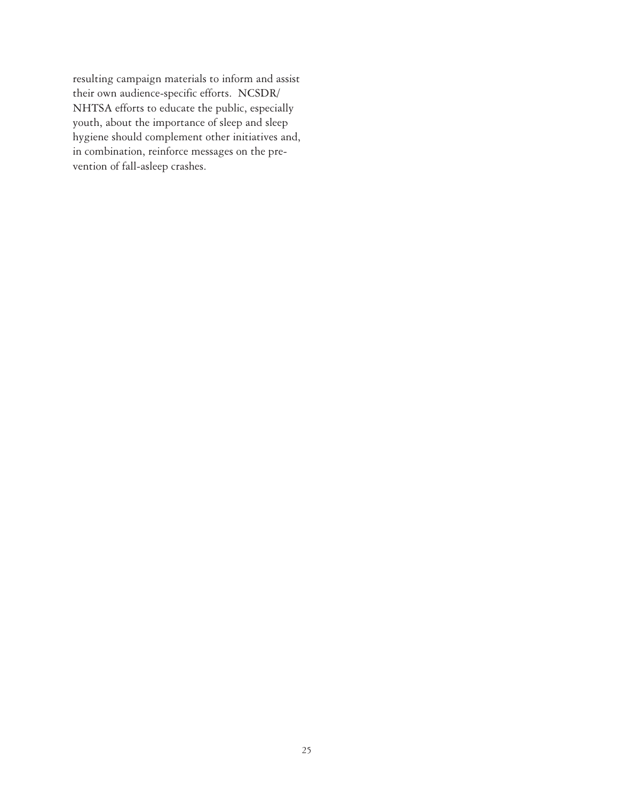resulting campaign materials to inform and assist their own audience-specific efforts. NCSDR/ NHTSA efforts to educate the public, especially youth, about the importance of sleep and sleep hygiene should complement other initiatives and, in combination, reinforce messages on the prevention of fall-asleep crashes.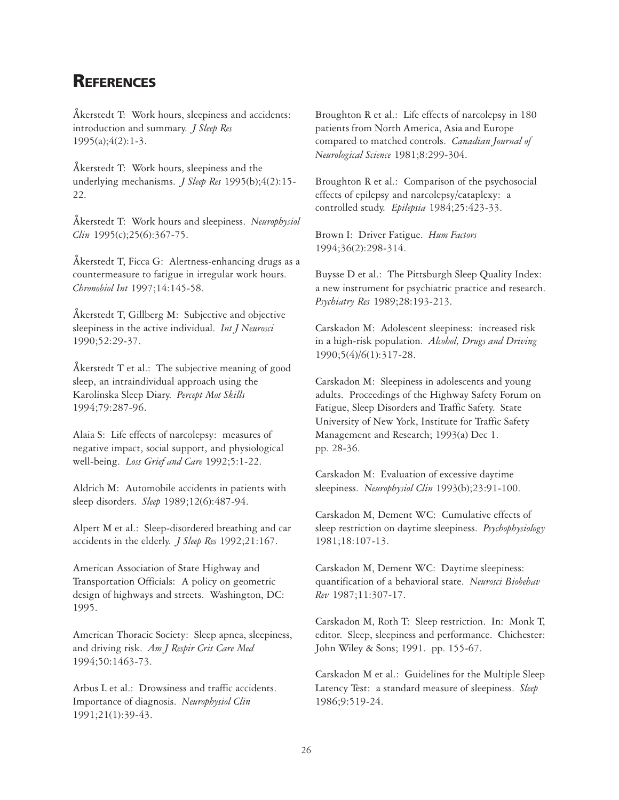# **REFERENCES**

Åkerstedt T: Work hours, sleepiness and accidents: introduction and summary. *J Sleep Res* 1995(a);4(2):1-3.

Åkerstedt T: Work hours, sleepiness and the underlying mechanisms. *J Sleep Res* 1995(b);4(2):15- 22.

Åkerstedt T: Work hours and sleepiness. *Neurophysiol Clin* 1995(c);25(6):367-75.

Åkerstedt T, Ficca G: Alertness-enhancing drugs as a countermeasure to fatigue in irregular work hours. *Chronobiol Int* 1997;14:145-58.

Åkerstedt T, Gillberg M: Subjective and objective sleepiness in the active individual. *Int J Neurosci* 1990;52:29-37.

Åkerstedt T et al.: The subjective meaning of good sleep, an intraindividual approach using the Karolinska Sleep Diary. *Percept Mot Skills* 1994;79:287-96.

Alaia S: Life effects of narcolepsy: measures of negative impact, social support, and physiological well-being. *Loss Grief and Care* 1992;5:1-22.

Aldrich M: Automobile accidents in patients with sleep disorders. *Sleep* 1989;12(6):487-94.

Alpert M et al.: Sleep-disordered breathing and car accidents in the elderly. *J Sleep Res* 1992;21:167.

American Association of State Highway and Transportation Officials: A policy on geometric design of highways and streets. Washington, DC: 1995.

American Thoracic Society: Sleep apnea, sleepiness, and driving risk. *Am J Respir Crit Care Med* 1994;50:1463-73.

Arbus L et al.: Drowsiness and traffic accidents. Importance of diagnosis. *Neurophysiol Clin* 1991;21(1):39-43.

Broughton R et al.: Life effects of narcolepsy in 180 patients from North America, Asia and Europe compared to matched controls. *Canadian Journal of Neurological Science* 1981;8:299-304.

Broughton R et al.: Comparison of the psychosocial effects of epilepsy and narcolepsy/cataplexy: a controlled study. *Epilepsia* 1984;25:423-33.

Brown I: Driver Fatigue. *Hum Factors* 1994;36(2):298-314.

Buysse D et al.: The Pittsburgh Sleep Quality Index: a new instrument for psychiatric practice and research. *Psychiatry Res* 1989;28:193-213.

Carskadon M: Adolescent sleepiness: increased risk in a high-risk population. *Alcohol, Drugs and Driving* 1990;5(4)/6(1):317-28.

Carskadon M: Sleepiness in adolescents and young adults. Proceedings of the Highway Safety Forum on Fatigue, Sleep Disorders and Traffic Safety. State University of New York, Institute for Traffic Safety Management and Research; 1993(a) Dec 1. pp. 28-36.

Carskadon M: Evaluation of excessive daytime sleepiness. *Neurophysiol Clin* 1993(b);23:91-100.

Carskadon M, Dement WC: Cumulative effects of sleep restriction on daytime sleepiness. *Psychophysiology* 1981;18:107-13.

Carskadon M, Dement WC: Daytime sleepiness: quantification of a behavioral state. *Neurosci Biobehav Rev* 1987;11:307-17.

Carskadon M, Roth T: Sleep restriction. In: Monk T, editor. Sleep, sleepiness and performance. Chichester: John Wiley & Sons; 1991. pp. 155-67.

Carskadon M et al.: Guidelines for the Multiple Sleep Latency Test: a standard measure of sleepiness. *Sleep* 1986;9:519-24.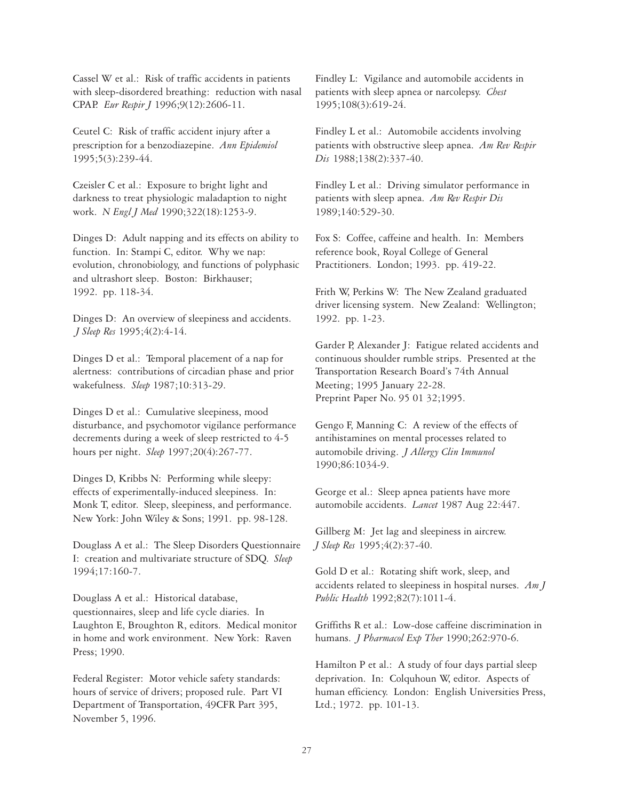Cassel W et al.: Risk of traffic accidents in patients with sleep-disordered breathing: reduction with nasal CPAP. *Eur Respir J* 1996;9(12):2606-11.

Ceutel C: Risk of traffic accident injury after a prescription for a benzodiazepine. *Ann Epidemiol* 1995;5(3):239-44.

Czeisler C et al.: Exposure to bright light and darkness to treat physiologic maladaption to night work. *N Engl J Med* 1990;322(18):1253-9.

Dinges D: Adult napping and its effects on ability to function. In: Stampi C, editor. Why we nap: evolution, chronobiology, and functions of polyphasic and ultrashort sleep. Boston: Birkhauser; 1992. pp. 118-34.

Dinges D: An overview of sleepiness and accidents. *J Sleep Res* 1995;4(2):4-14.

Dinges D et al.: Temporal placement of a nap for alertness: contributions of circadian phase and prior wakefulness. *Sleep* 1987;10:313-29.

Dinges D et al.: Cumulative sleepiness, mood disturbance, and psychomotor vigilance performance decrements during a week of sleep restricted to 4-5 hours per night. *Sleep* 1997;20(4):267-77.

Dinges D, Kribbs N: Performing while sleepy: effects of experimentally-induced sleepiness. In: Monk T, editor. Sleep, sleepiness, and performance. New York: John Wiley & Sons; 1991. pp. 98-128.

Douglass A et al.: The Sleep Disorders Questionnaire I: creation and multivariate structure of SDQ. *Sleep* 1994;17:160-7.

Douglass A et al.: Historical database, questionnaires, sleep and life cycle diaries. In Laughton E, Broughton R, editors. Medical monitor in home and work environment. New York: Raven Press; 1990.

Federal Register: Motor vehicle safety standards: hours of service of drivers; proposed rule. Part VI Department of Transportation, 49CFR Part 395, November 5, 1996.

Findley L: Vigilance and automobile accidents in patients with sleep apnea or narcolepsy. *Chest* 1995;108(3):619-24.

Findley L et al.: Automobile accidents involving patients with obstructive sleep apnea. *Am Rev Respir Dis* 1988;138(2):337-40.

Findley L et al.: Driving simulator performance in patients with sleep apnea. *Am Rev Respir Dis* 1989;140:529-30.

Fox S: Coffee, caffeine and health. In: Members reference book, Royal College of General Practitioners. London; 1993. pp. 419-22.

Frith W, Perkins W: The New Zealand graduated driver licensing system. New Zealand: Wellington; 1992. pp. 1-23.

Garder P, Alexander J: Fatigue related accidents and continuous shoulder rumble strips. Presented at the Transportation Research Board's 74th Annual Meeting; 1995 January 22-28. Preprint Paper No. 95 01 32;1995.

Gengo F, Manning C: A review of the effects of antihistamines on mental processes related to automobile driving. *J Allergy Clin Immunol* 1990;86:1034-9.

George et al.: Sleep apnea patients have more automobile accidents. *Lancet* 1987 Aug 22:447.

Gillberg M: Jet lag and sleepiness in aircrew. *J Sleep Res* 1995;4(2):37-40.

Gold D et al.: Rotating shift work, sleep, and accidents related to sleepiness in hospital nurses. *Am J Public Health* 1992;82(7):1011-4.

Griffiths R et al.: Low-dose caffeine discrimination in humans. *J Pharmacol Exp Ther* 1990;262:970-6.

Hamilton P et al.: A study of four days partial sleep deprivation. In: Colquhoun W, editor. Aspects of human efficiency. London: English Universities Press, Ltd.; 1972. pp. 101-13.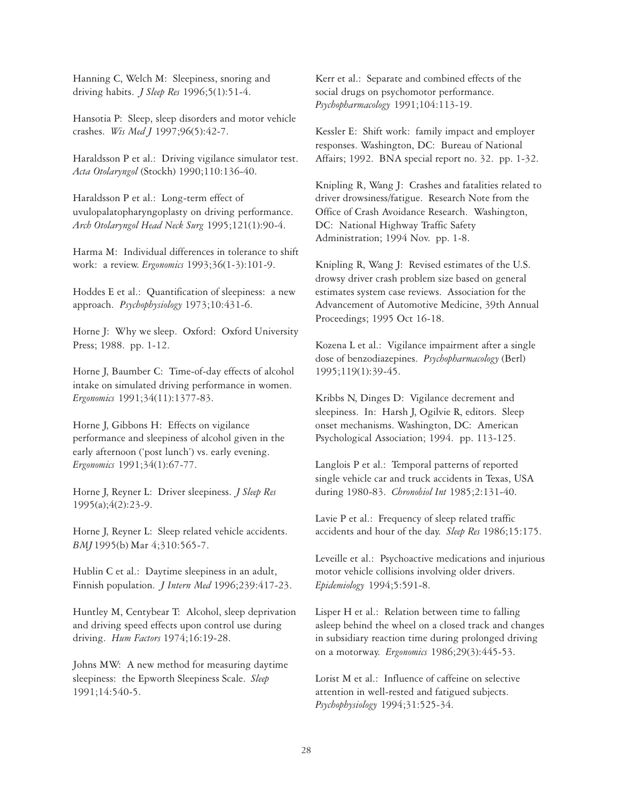Hanning C, Welch M: Sleepiness, snoring and driving habits. *J Sleep Res* 1996;5(1):51-4.

Hansotia P: Sleep, sleep disorders and motor vehicle crashes. *Wis Med J* 1997;96(5):42-7.

Haraldsson P et al.: Driving vigilance simulator test. *Acta Otolaryngol* (Stockh) 1990;110:136-40.

Haraldsson P et al.: Long-term effect of uvulopalatopharyngoplasty on driving performance. *Arch Otolaryngol Head Neck Surg* 1995;121(1):90-4.

Harma M: Individual differences in tolerance to shift work: a review. *Ergonomics* 1993;36(1-3):101-9.

Hoddes E et al.: Quantification of sleepiness: a new approach. *Psychophysiology* 1973;10:431-6.

Horne J: Why we sleep. Oxford: Oxford University Press; 1988. pp. 1-12.

Horne J, Baumber C: Time-of-day effects of alcohol intake on simulated driving performance in women. *Ergonomics* 1991;34(11):1377-83.

Horne J, Gibbons H: Effects on vigilance performance and sleepiness of alcohol given in the early afternoon ('post lunch') vs. early evening. *Ergonomics* 1991;34(1):67-77.

Horne J, Reyner L: Driver sleepiness. *J Sleep Res* 1995(a);4(2):23-9.

Horne J, Reyner L: Sleep related vehicle accidents. *BMJ* 1995(b) Mar 4;310:565-7.

Hublin C et al.: Daytime sleepiness in an adult, Finnish population. *J Intern Med* 1996;239:417-23.

Huntley M, Centybear T: Alcohol, sleep deprivation and driving speed effects upon control use during driving. *Hum Factors* 1974;16:19-28.

Johns MW: A new method for measuring daytime sleepiness: the Epworth Sleepiness Scale. *Sleep* 1991;14:540-5.

Kerr et al.: Separate and combined effects of the social drugs on psychomotor performance. *Psychopharmacology* 1991;104:113-19.

Kessler E: Shift work: family impact and employer responses. Washington, DC: Bureau of National Affairs; 1992. BNA special report no. 32. pp. 1-32.

Knipling R, Wang J: Crashes and fatalities related to driver drowsiness/fatigue. Research Note from the Office of Crash Avoidance Research. Washington, DC: National Highway Traffic Safety Administration; 1994 Nov. pp. 1-8.

Knipling R, Wang J: Revised estimates of the U.S. drowsy driver crash problem size based on general estimates system case reviews. Association for the Advancement of Automotive Medicine, 39th Annual Proceedings; 1995 Oct 16-18.

Kozena L et al.: Vigilance impairment after a single dose of benzodiazepines. *Psychopharmacology* (Berl) 1995;119(1):39-45.

Kribbs N, Dinges D: Vigilance decrement and sleepiness. In: Harsh J, Ogilvie R, editors. Sleep onset mechanisms. Washington, DC: American Psychological Association; 1994. pp. 113-125.

Langlois P et al.: Temporal patterns of reported single vehicle car and truck accidents in Texas, USA during 1980-83. *Chronobiol Int* 1985;2:131-40.

Lavie P et al.: Frequency of sleep related traffic accidents and hour of the day. *Sleep Res* 1986;15:175.

Leveille et al.: Psychoactive medications and injurious motor vehicle collisions involving older drivers. *Epidemiology* 1994;5:591-8.

Lisper H et al.: Relation between time to falling asleep behind the wheel on a closed track and changes in subsidiary reaction time during prolonged driving on a motorway. *Ergonomics* 1986;29(3):445-53.

Lorist M et al.: Influence of caffeine on selective attention in well-rested and fatigued subjects. *Psychophysiology* 1994;31:525-34.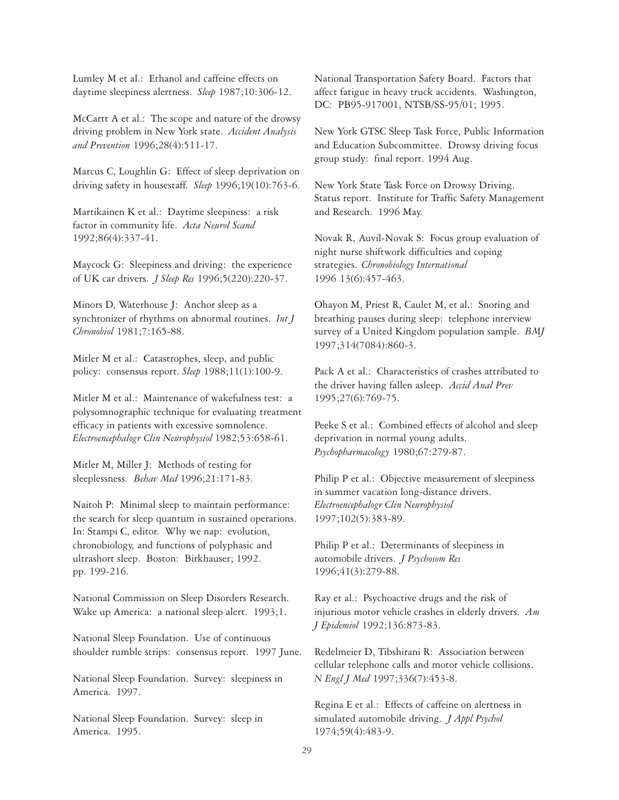Lumley M et al.: Ethanol and caffeine effects on daytime sleepiness alertness. *Sleep* 1987;10:306-12.

McCartt A et al.: The scope and nature of the drowsy driving problem in New York state. *Accident Analysis and Prevention* 1996;28(4):511-17.

Marcus C, Loughlin G: Effect of sleep deprivation on driving safety in housestaff. *Sleep* 1996;19(10):763-6.

Martikainen K et al.: Daytime sleepiness: a risk factor in community life. *Acta Neurol Scand* 1992;86(4):337-41.

Maycock G: Sleepiness and driving: the experience of UK car drivers. *J Sleep Res* 1996;5(220):220-37.

Minors D, Waterhouse J: Anchor sleep as a synchronizer of rhythms on abnormal routines. *Int J Chronobiol* 1981;7:165-88.

Mitler M et al.: Catastrophes, sleep, and public policy: consensus report. *Sleep* 1988;11(1):100-9.

Mitler M et al.: Maintenance of wakefulness test: a polysomnographic technique for evaluating treatment efficacy in patients with excessive somnolence. *Electroencephalogr Clin Neurophysiol* 1982;53:658-61.

Mitler M, Miller J: Methods of testing for sleeplessness. *Behav Med* 1996;21:171-83.

Naitoh P: Minimal sleep to maintain performance: the search for sleep quantum in sustained operations. In: Stampi C, editor. Why we nap: evolution, chronobiology, and functions of polyphasic and ultrashort sleep. Boston: Birkhauser; 1992. pp. 199-216.

National Commission on Sleep Disorders Research. Wake up America: a national sleep alert. 1993;1.

National Sleep Foundation. Use of continuous shoulder rumble strips: consensus report. 1997 June.

National Sleep Foundation. Survey: sleepiness in America. 1997.

National Sleep Foundation. Survey: sleep in America. 1995.

National Transportation Safety Board. Factors that affect fatigue in heavy truck accidents. Washington, DC: PB95-917001, NTSB/SS-95/01; 1995.

New York GTSC Sleep Task Force, Public Information and Education Subcommittee. Drowsy driving focus group study: final report. 1994 Aug.

New York State Task Force on Drowsy Driving. Status report. Institute for Traffic Safety Management and Research. 1996 May.

Novak R, Auvil-Novak S: Focus group evaluation of night nurse shiftwork difficulties and coping strategies. *Chronobiology International* 1996 13(6):457-463.

Ohayon M, Priest R, Caulet M, et al.: Snoring and breathing pauses during sleep: telephone interview survey of a United Kingdom population sample. *BMJ* 1997;314(7084):860-3.

Pack A et al.: Characteristics of crashes attributed to the driver having fallen asleep. *Accid Anal Prev* 1995;27(6):769-75.

Peeke S et al.: Combined effects of alcohol and sleep deprivation in normal young adults. *Psychopharmacology* 1980;67:279-87.

Philip P et al.: Objective measurement of sleepiness in summer vacation long-distance drivers. *Electroencephalogr Clin Neurophysiol* 1997;102(5):383-89.

Philip P et al.: Determinants of sleepiness in automobile drivers. *J Psychosom Res* 1996;41(3):279-88.

Ray et al.: Psychoactive drugs and the risk of injurious motor vehicle crashes in elderly drivers. *Am J Epidemiol* 1992;136:873-83.

Redelmeier D, Tibshirani R: Association between cellular telephone calls and motor vehicle collisions. *N Engl J Med* 1997;336(7):453-8.

Regina E et al.: Effects of caffeine on alertness in simulated automobile driving. *J Appl Psychol* 1974;59(4):483-9.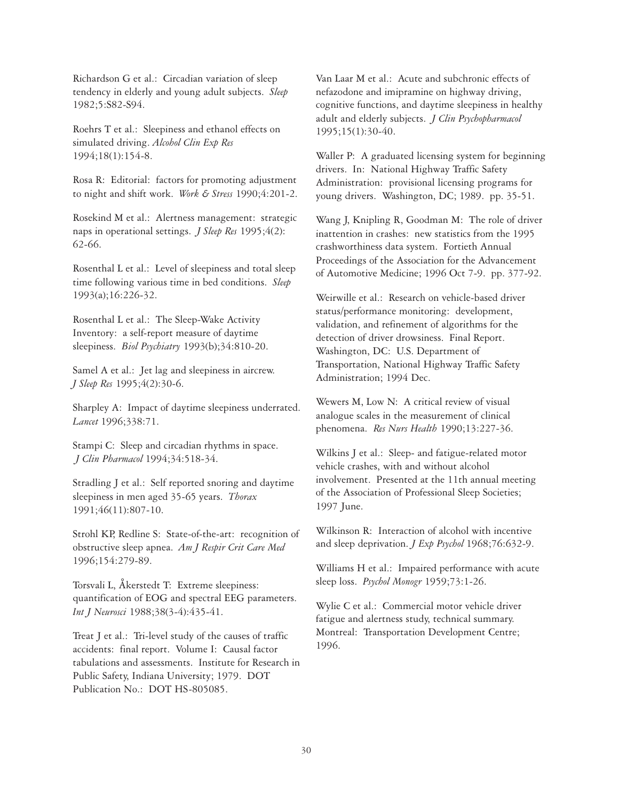Richardson G et al.: Circadian variation of sleep tendency in elderly and young adult subjects. *Sleep* 1982;5:S82-S94.

Roehrs T et al.: Sleepiness and ethanol effects on simulated driving. *Alcohol Clin Exp Res* 1994;18(1):154-8.

Rosa R: Editorial: factors for promoting adjustment to night and shift work. *Work & Stress* 1990;4:201-2.

Rosekind M et al.: Alertness management: strategic naps in operational settings. *J Sleep Res* 1995;4(2): 62-66.

Rosenthal L et al.: Level of sleepiness and total sleep time following various time in bed conditions. *Sleep* 1993(a);16:226-32.

Rosenthal L et al.: The Sleep-Wake Activity Inventory: a self-report measure of daytime sleepiness. *Biol Psychiatry* 1993(b);34:810-20.

Samel A et al.: Jet lag and sleepiness in aircrew. *J Sleep Res* 1995;4(2):30-6.

Sharpley A: Impact of daytime sleepiness underrated. *Lancet* 1996;338:71.

Stampi C: Sleep and circadian rhythms in space. *J Clin Pharmacol* 1994;34:518-34.

Stradling J et al.: Self reported snoring and daytime sleepiness in men aged 35-65 years. *Thorax* 1991;46(11):807-10.

Strohl KP, Redline S: State-of-the-art: recognition of obstructive sleep apnea. *Am J Respir Crit Care Med* 1996;154:279-89.

Torsvali L, Åkerstedt T: Extreme sleepiness: quantification of EOG and spectral EEG parameters. *Int J Neurosci* 1988;38(3-4):435-41.

Treat J et al.: Tri-level study of the causes of traffic accidents: final report. Volume I: Causal factor tabulations and assessments. Institute for Research in Public Safety, Indiana University; 1979. DOT Publication No.: DOT HS-805085.

Van Laar M et al.: Acute and subchronic effects of nefazodone and imipramine on highway driving, cognitive functions, and daytime sleepiness in healthy adult and elderly subjects. *J Clin Psychopharmacol* 1995;15(1):30-40.

Waller P: A graduated licensing system for beginning drivers. In: National Highway Traffic Safety Administration: provisional licensing programs for young drivers. Washington, DC; 1989. pp. 35-51.

Wang J, Knipling R, Goodman M: The role of driver inattention in crashes: new statistics from the 1995 crashworthiness data system. Fortieth Annual Proceedings of the Association for the Advancement of Automotive Medicine; 1996 Oct 7-9. pp. 377-92.

Weirwille et al.: Research on vehicle-based driver status/performance monitoring: development, validation, and refinement of algorithms for the detection of driver drowsiness. Final Report. Washington, DC: U.S. Department of Transportation, National Highway Traffic Safety Administration; 1994 Dec.

Wewers M, Low N: A critical review of visual analogue scales in the measurement of clinical phenomena. *Res Nurs Health* 1990;13:227-36.

Wilkins J et al.: Sleep- and fatigue-related motor vehicle crashes, with and without alcohol involvement. Presented at the 11th annual meeting of the Association of Professional Sleep Societies; 1997 June.

Wilkinson R: Interaction of alcohol with incentive and sleep deprivation. *J Exp Psychol* 1968;76:632-9.

Williams H et al.: Impaired performance with acute sleep loss. *Psychol Monogr* 1959;73:1-26.

Wylie C et al.: Commercial motor vehicle driver fatigue and alertness study, technical summary. Montreal: Transportation Development Centre; 1996.